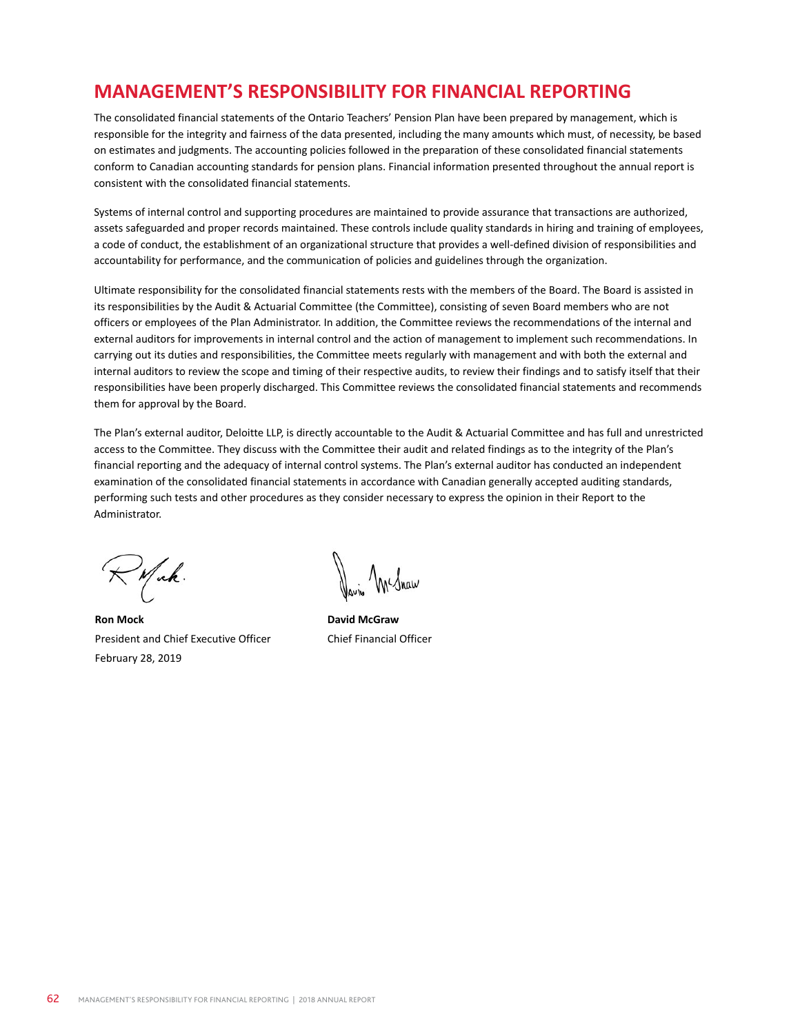# **MANAGEMENT'S RESPONSIBILITY FOR FINANCIAL REPORTING**

The consolidated financial statements of the Ontario Teachers' Pension Plan have been prepared by management, which is responsible for the integrity and fairness of the data presented, including the many amounts which must, of necessity, be based on estimates and judgments. The accounting policies followed in the preparation of these consolidated financial statements conform to Canadian accounting standards for pension plans. Financial information presented throughout the annual report is consistent with the consolidated financial statements.

Systems of internal control and supporting procedures are maintained to provide assurance that transactions are authorized, assets safeguarded and proper records maintained. These controls include quality standards in hiring and training of employees, a code of conduct, the establishment of an organizational structure that provides a well-defined division of responsibilities and accountability for performance, and the communication of policies and guidelines through the organization.

Ultimate responsibility for the consolidated financial statements rests with the members of the Board. The Board is assisted in its responsibilities by the Audit & Actuarial Committee (the Committee), consisting of seven Board members who are not officers or employees of the Plan Administrator. In addition, the Committee reviews the recommendations of the internal and external auditors for improvements in internal control and the action of management to implement such recommendations. In carrying out its duties and responsibilities, the Committee meets regularly with management and with both the external and internal auditors to review the scope and timing of their respective audits, to review their findings and to satisfy itself that their responsibilities have been properly discharged. This Committee reviews the consolidated financial statements and recommends them for approval by the Board.

The Plan's external auditor, Deloitte LLP, is directly accountable to the Audit & Actuarial Committee and has full and unrestricted access to the Committee. They discuss with the Committee their audit and related findings as to the integrity of the Plan's financial reporting and the adequacy of internal control systems. The Plan's external auditor has conducted an independent examination of the consolidated financial statements in accordance with Canadian generally accepted auditing standards, performing such tests and other procedures as they consider necessary to express the opinion in their Report to the Administrator.

Mak.

**Ron Mock David McGraw** President and Chief Executive Officer Chief Financial Officer February 28, 2019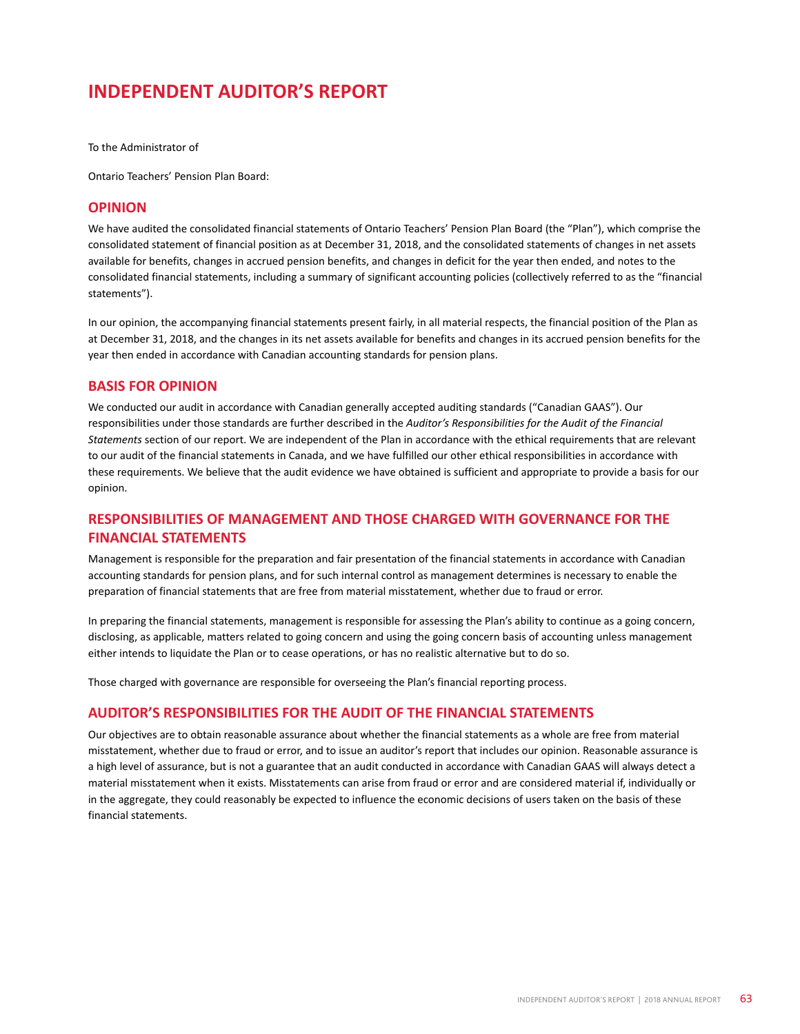# **INDEPENDENT AUDITOR'S REPORT**

To the Administrator of

Ontario Teachers' Pension Plan Board:

## **OPINION**

We have audited the consolidated financial statements of Ontario Teachers' Pension Plan Board (the "Plan"), which comprise the consolidated statement of financial position as at December 31, 2018, and the consolidated statements of changes in net assets available for benefits, changes in accrued pension benefits, and changes in deficit for the year then ended, and notes to the consolidated financial statements, including a summary of significant accounting policies (collectively referred to as the "financial statements").

In our opinion, the accompanying financial statements present fairly, in all material respects, the financial position of the Plan as at December 31, 2018, and the changes in its net assets available for benefits and changes in its accrued pension benefits for the year then ended in accordance with Canadian accounting standards for pension plans.

## **BASIS FOR OPINION**

We conducted our audit in accordance with Canadian generally accepted auditing standards ("Canadian GAAS"). Our responsibilities under those standards are further described in the *Auditor's Responsibilities for the Audit of the Financial Statements* section of our report. We are independent of the Plan in accordance with the ethical requirements that are relevant to our audit of the financial statements in Canada, and we have fulfilled our other ethical responsibilities in accordance with these requirements. We believe that the audit evidence we have obtained is sufficient and appropriate to provide a basis for our opinion.

# **RESPONSIBILITIES OF MANAGEMENT AND THOSE CHARGED WITH GOVERNANCE FOR THE FINANCIAL STATEMENTS**

Management is responsible for the preparation and fair presentation of the financial statements in accordance with Canadian accounting standards for pension plans, and for such internal control as management determines is necessary to enable the preparation of financial statements that are free from material misstatement, whether due to fraud or error.

In preparing the financial statements, management is responsible for assessing the Plan's ability to continue as a going concern, disclosing, as applicable, matters related to going concern and using the going concern basis of accounting unless management either intends to liquidate the Plan or to cease operations, or has no realistic alternative but to do so.

Those charged with governance are responsible for overseeing the Plan's financial reporting process.

## **AUDITOR'S RESPONSIBILITIES FOR THE AUDIT OF THE FINANCIAL STATEMENTS**

Our objectives are to obtain reasonable assurance about whether the financial statements as a whole are free from material misstatement, whether due to fraud or error, and to issue an auditor's report that includes our opinion. Reasonable assurance is a high level of assurance, but is not a guarantee that an audit conducted in accordance with Canadian GAAS will always detect a material misstatement when it exists. Misstatements can arise from fraud or error and are considered material if, individually or in the aggregate, they could reasonably be expected to influence the economic decisions of users taken on the basis of these financial statements.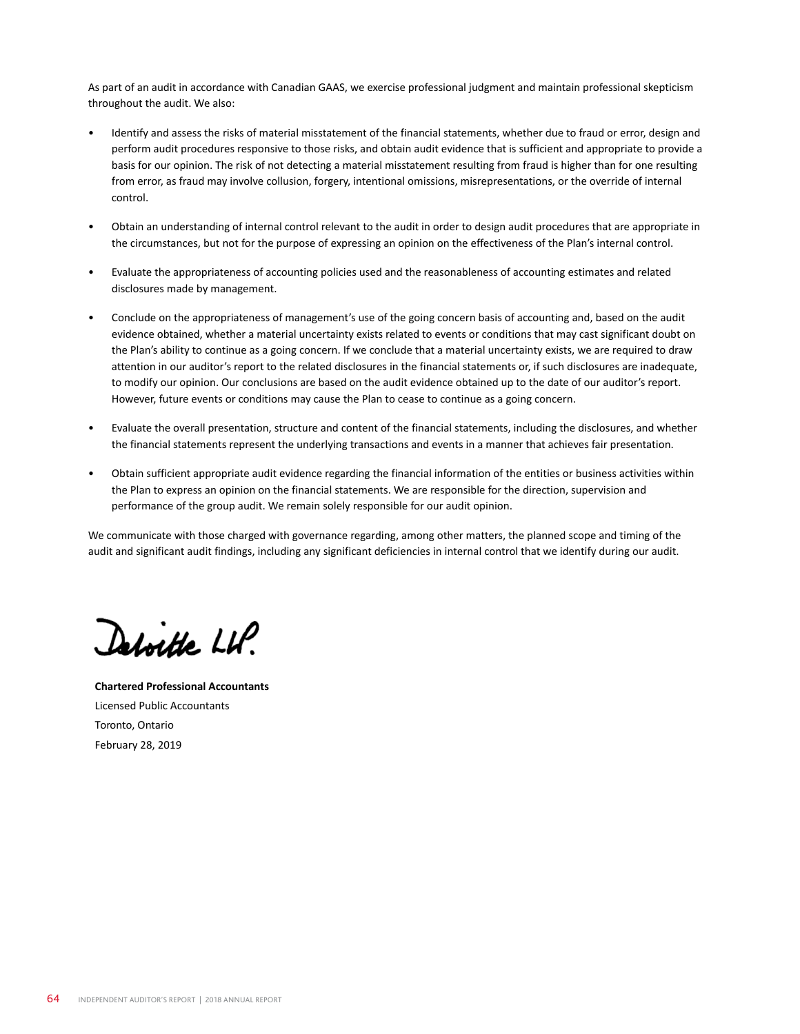As part of an audit in accordance with Canadian GAAS, we exercise professional judgment and maintain professional skepticism throughout the audit. We also:

- Identify and assess the risks of material misstatement of the financial statements, whether due to fraud or error, design and perform audit procedures responsive to those risks, and obtain audit evidence that is sufficient and appropriate to provide a basis for our opinion. The risk of not detecting a material misstatement resulting from fraud is higher than for one resulting from error, as fraud may involve collusion, forgery, intentional omissions, misrepresentations, or the override of internal control.
- Obtain an understanding of internal control relevant to the audit in order to design audit procedures that are appropriate in the circumstances, but not for the purpose of expressing an opinion on the effectiveness of the Plan's internal control.
- Evaluate the appropriateness of accounting policies used and the reasonableness of accounting estimates and related disclosures made by management.
- Conclude on the appropriateness of management's use of the going concern basis of accounting and, based on the audit evidence obtained, whether a material uncertainty exists related to events or conditions that may cast significant doubt on the Plan's ability to continue as a going concern. If we conclude that a material uncertainty exists, we are required to draw attention in our auditor's report to the related disclosures in the financial statements or, if such disclosures are inadequate, to modify our opinion. Our conclusions are based on the audit evidence obtained up to the date of our auditor's report. However, future events or conditions may cause the Plan to cease to continue as a going concern.
- Evaluate the overall presentation, structure and content of the financial statements, including the disclosures, and whether the financial statements represent the underlying transactions and events in a manner that achieves fair presentation.
- Obtain sufficient appropriate audit evidence regarding the financial information of the entities or business activities within the Plan to express an opinion on the financial statements. We are responsible for the direction, supervision and performance of the group audit. We remain solely responsible for our audit opinion.

We communicate with those charged with governance regarding, among other matters, the planned scope and timing of the audit and significant audit findings, including any significant deficiencies in internal control that we identify during our audit.

Deboitte LUP.

**Chartered Professional Accountants** Licensed Public Accountants Toronto, Ontario February 28, 2019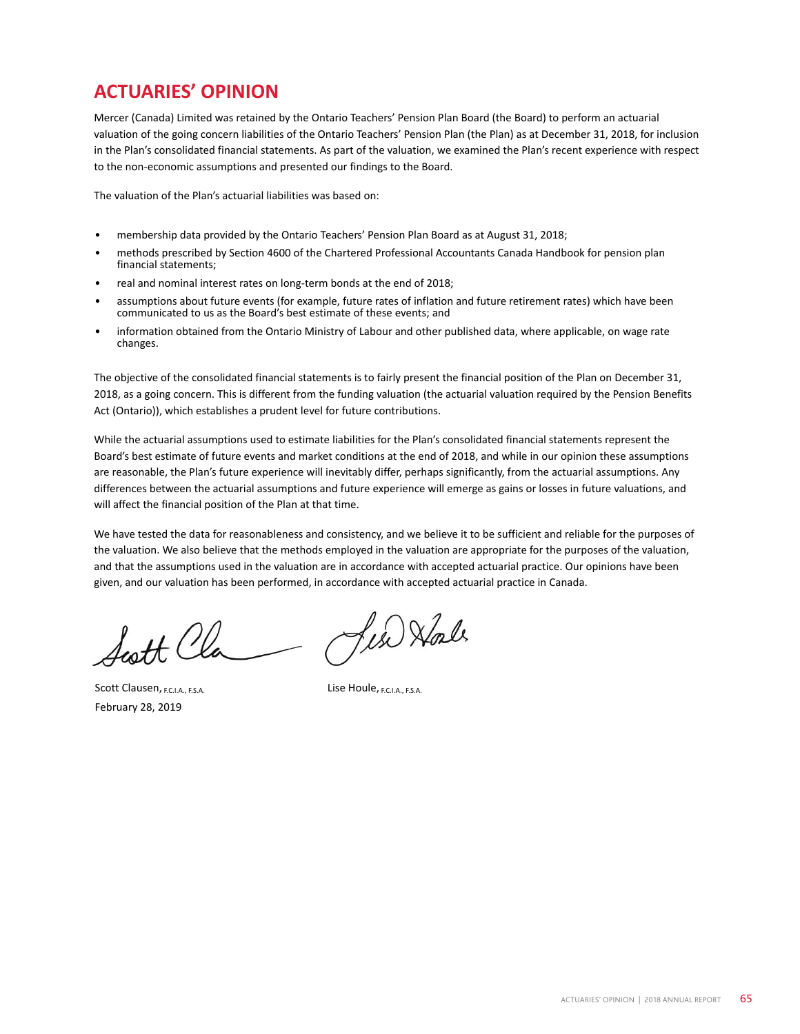# **ACTUARIES' OPINION**

Mercer (Canada) Limited was retained by the Ontario Teachers' Pension Plan Board (the Board) to perform an actuarial valuation of the going concern liabilities of the Ontario Teachers' Pension Plan (the Plan) as at December 31, 2018, for inclusion in the Plan's consolidated financial statements. As part of the valuation, we examined the Plan's recent experience with respect to the non-economic assumptions and presented our findings to the Board.

The valuation of the Plan's actuarial liabilities was based on:

- membership data provided by the Ontario Teachers' Pension Plan Board as at August 31, 2018;
- methods prescribed by Section 4600 of the Chartered Professional Accountants Canada Handbook for pension plan financial statements;
- real and nominal interest rates on long-term bonds at the end of 2018;
- assumptions about future events (for example, future rates of inflation and future retirement rates) which have been communicated to us as the Board's best estimate of these events; and
- information obtained from the Ontario Ministry of Labour and other published data, where applicable, on wage rate changes.

The objective of the consolidated financial statements is to fairly present the financial position of the Plan on December 31, 2018, as a going concern. This is different from the funding valuation (the actuarial valuation required by the Pension Benefits Act (Ontario)), which establishes a prudent level for future contributions.

While the actuarial assumptions used to estimate liabilities for the Plan's consolidated financial statements represent the Board's best estimate of future events and market conditions at the end of 2018, and while in our opinion these assumptions are reasonable, the Plan's future experience will inevitably differ, perhaps significantly, from the actuarial assumptions. Any differences between the actuarial assumptions and future experience will emerge as gains or losses in future valuations, and will affect the financial position of the Plan at that time.

We have tested the data for reasonableness and consistency, and we believe it to be sufficient and reliable for the purposes of the valuation. We also believe that the methods employed in the valuation are appropriate for the purposes of the valuation, and that the assumptions used in the valuation are in accordance with accepted actuarial practice. Our opinions have been given, and our valuation has been performed, in accordance with accepted actuarial practice in Canada.

Scott Cla

Scott Clausen, F.C.I.A., F.S.A. Lise Houle, F.C.I.A., F.S.A. February 28, 2019

Jes Hale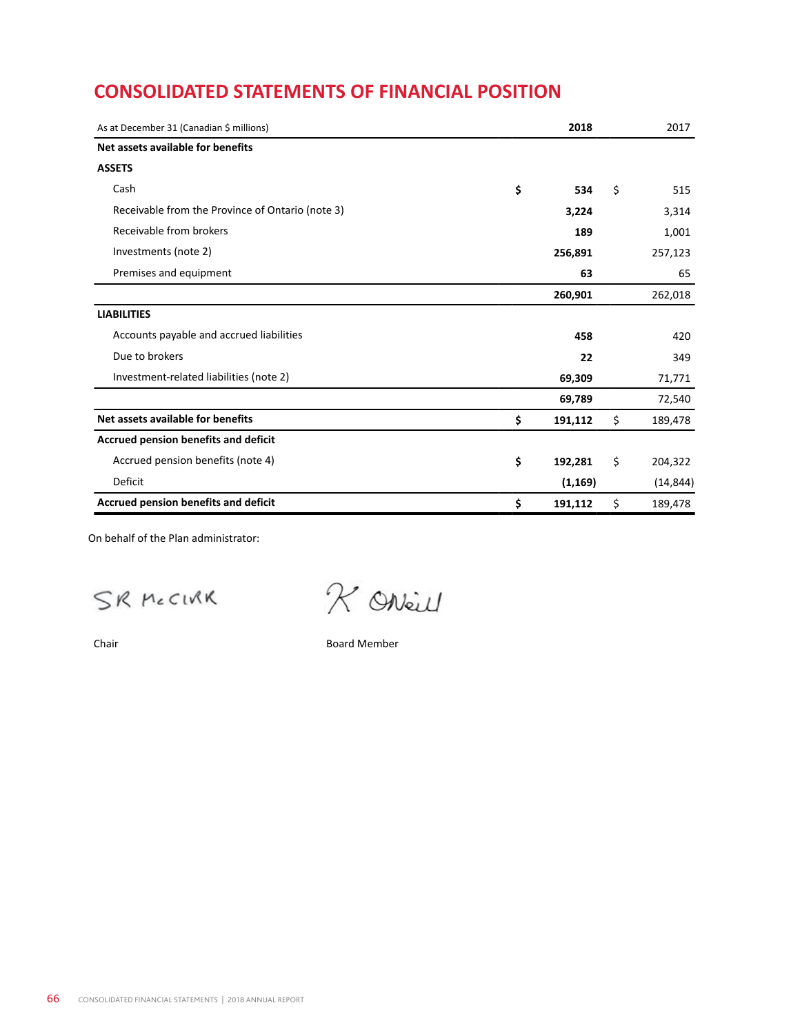# **CONSOLIDATED STATEMENTS OF FINANCIAL POSITION**

| As at December 31 (Canadian \$ millions)         | 2018          | 2017          |
|--------------------------------------------------|---------------|---------------|
| Net assets available for benefits                |               |               |
| <b>ASSETS</b>                                    |               |               |
| Cash                                             | \$<br>534     | \$<br>515     |
| Receivable from the Province of Ontario (note 3) | 3,224         | 3,314         |
| Receivable from brokers                          | 189           | 1,001         |
| Investments (note 2)                             | 256,891       | 257,123       |
| Premises and equipment                           | 63            | 65            |
|                                                  | 260,901       | 262,018       |
| <b>LIABILITIES</b>                               |               |               |
| Accounts payable and accrued liabilities         | 458           | 420           |
| Due to brokers                                   | 22            | 349           |
| Investment-related liabilities (note 2)          | 69,309        | 71,771        |
|                                                  | 69,789        | 72,540        |
| Net assets available for benefits                | \$<br>191,112 | \$<br>189,478 |
| Accrued pension benefits and deficit             |               |               |
| Accrued pension benefits (note 4)                | \$<br>192,281 | \$<br>204,322 |
| <b>Deficit</b>                                   | (1, 169)      | (14, 844)     |
| Accrued pension benefits and deficit             | \$<br>191,112 | \$<br>189,478 |

On behalf of the Plan administrator:

SR MCCIRK

2 ONeil

Chair **Board Member**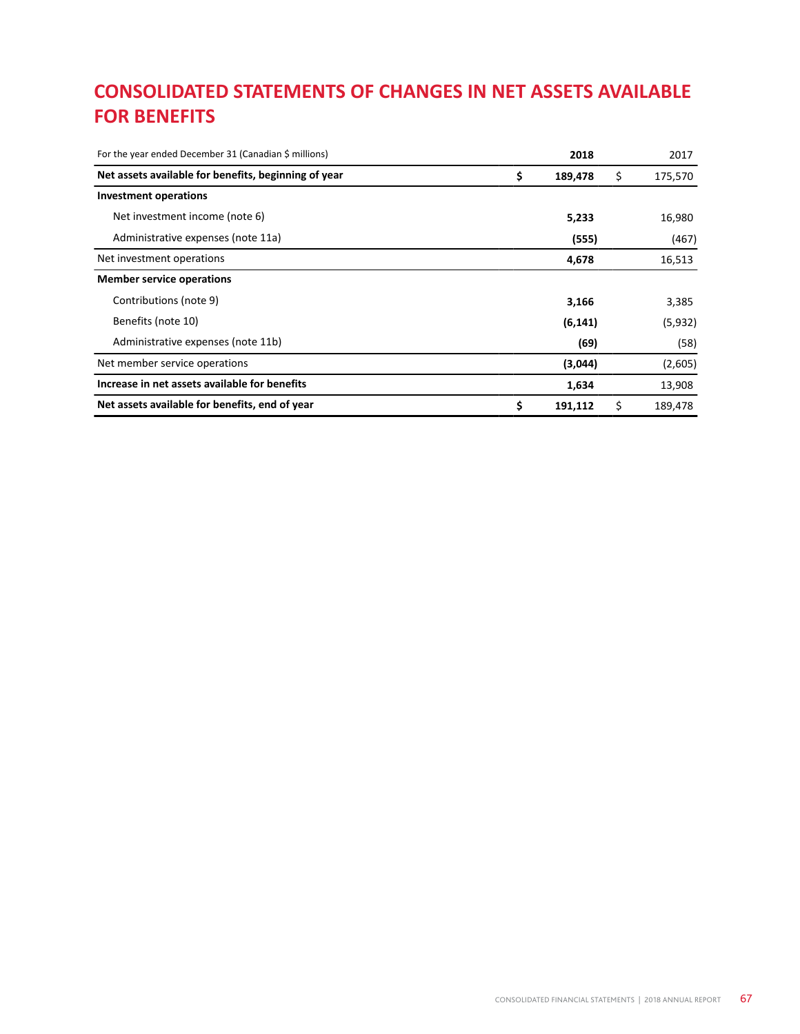# **CONSOLIDATED STATEMENTS OF CHANGES IN NET ASSETS AVAILABLE FOR BENEFITS**

| For the year ended December 31 (Canadian \$ millions) | 2018          | 2017          |
|-------------------------------------------------------|---------------|---------------|
| Net assets available for benefits, beginning of year  | \$<br>189,478 | \$<br>175,570 |
| <b>Investment operations</b>                          |               |               |
| Net investment income (note 6)                        | 5,233         | 16,980        |
| Administrative expenses (note 11a)                    | (555)         | (467)         |
| Net investment operations                             | 4,678         | 16,513        |
| <b>Member service operations</b>                      |               |               |
| Contributions (note 9)                                | 3,166         | 3,385         |
| Benefits (note 10)                                    | (6, 141)      | (5,932)       |
| Administrative expenses (note 11b)                    | (69)          | (58)          |
| Net member service operations                         | (3,044)       | (2,605)       |
| Increase in net assets available for benefits         | 1,634         | 13,908        |
| Net assets available for benefits, end of year        | \$<br>191,112 | \$<br>189,478 |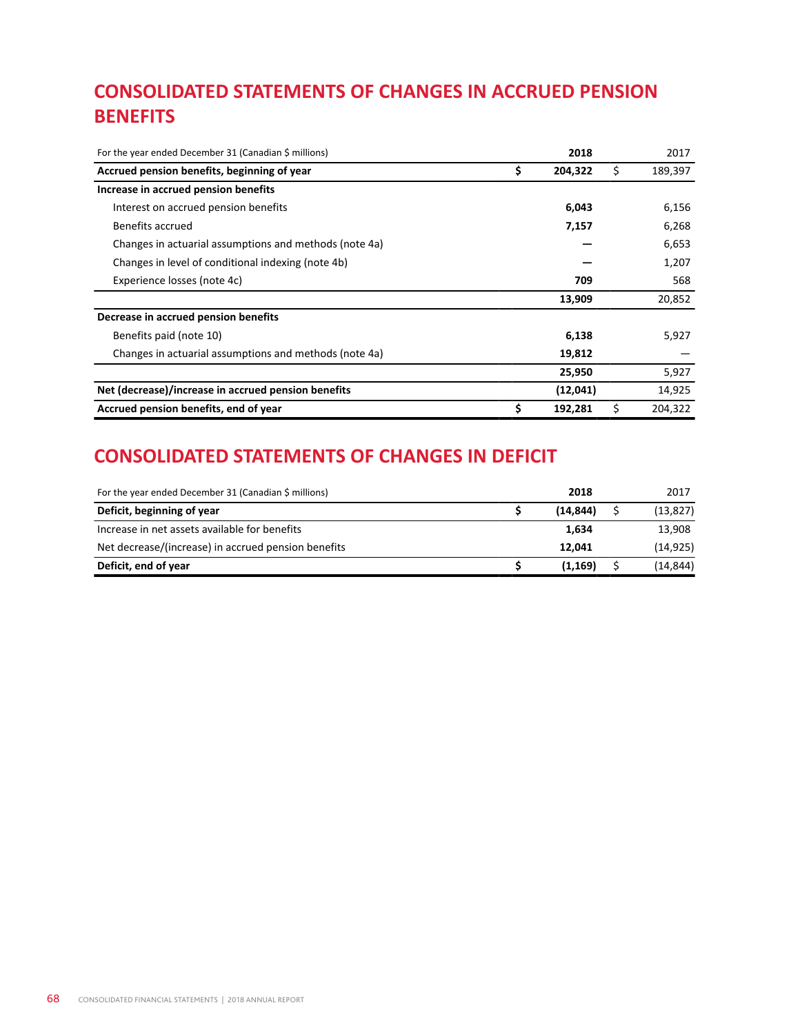# **CONSOLIDATED STATEMENTS OF CHANGES IN ACCRUED PENSION BENEFITS**

| For the year ended December 31 (Canadian \$ millions)  | 2018          |    | 2017    |
|--------------------------------------------------------|---------------|----|---------|
| Accrued pension benefits, beginning of year            | \$<br>204,322 | \$ | 189,397 |
| Increase in accrued pension benefits                   |               |    |         |
| Interest on accrued pension benefits                   | 6,043         |    | 6,156   |
| Benefits accrued                                       | 7,157         |    | 6,268   |
| Changes in actuarial assumptions and methods (note 4a) |               |    | 6,653   |
| Changes in level of conditional indexing (note 4b)     |               |    | 1,207   |
| Experience losses (note 4c)                            | 709           |    | 568     |
|                                                        | 13,909        |    | 20,852  |
| Decrease in accrued pension benefits                   |               |    |         |
| Benefits paid (note 10)                                | 6,138         |    | 5,927   |
| Changes in actuarial assumptions and methods (note 4a) | 19,812        |    |         |
|                                                        | 25,950        |    | 5,927   |
| Net (decrease)/increase in accrued pension benefits    | (12,041)      |    | 14,925  |
| Accrued pension benefits, end of year                  | \$<br>192,281 | Ś  | 204,322 |

# **CONSOLIDATED STATEMENTS OF CHANGES IN DEFICIT**

| For the year ended December 31 (Canadian \$ millions) | 2018     | 2017      |
|-------------------------------------------------------|----------|-----------|
| Deficit, beginning of year                            | (14.844) | (13, 827) |
| Increase in net assets available for benefits         | 1.634    | 13,908    |
| Net decrease/(increase) in accrued pension benefits   | 12.041   | (14, 925) |
| Deficit, end of year                                  | (1.169)  | (14, 844) |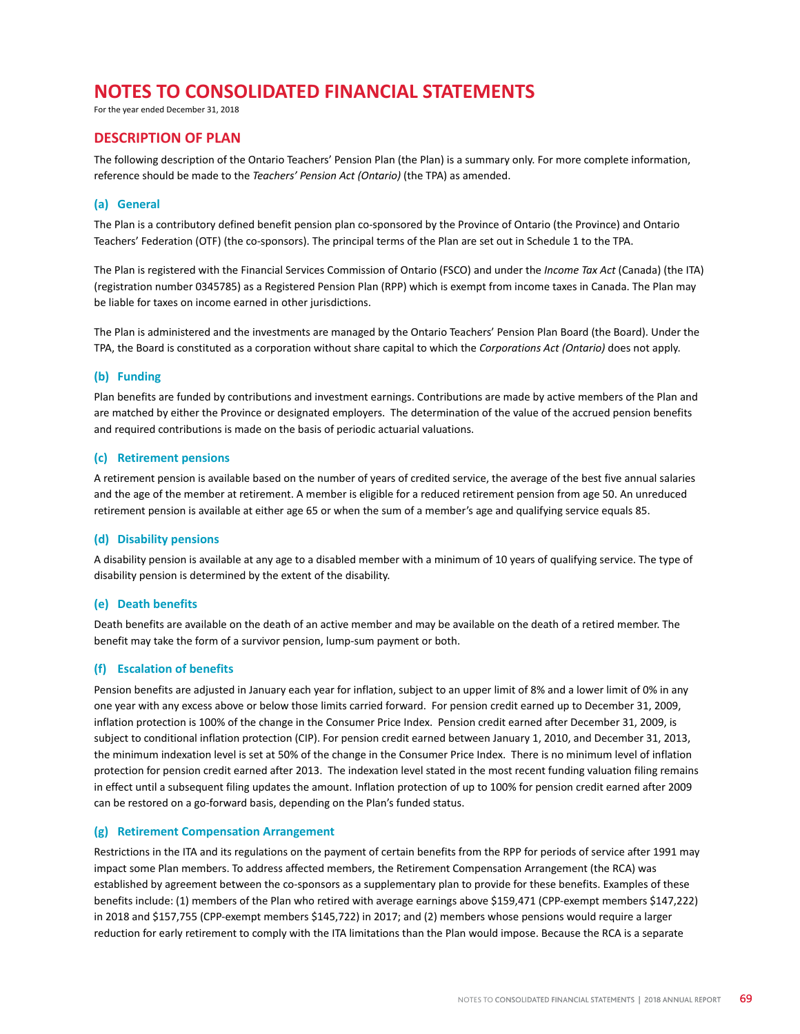# **NOTES TO CONSOLIDATED FINANCIAL STATEMENTS**

For the year ended December 31, 2018

# **DESCRIPTION OF PLAN**

The following description of the Ontario Teachers' Pension Plan (the Plan) is a summary only. For more complete information, reference should be made to the *Teachers' Pension Act (Ontario)* (the TPA) as amended.

## **(a) General**

The Plan is a contributory defined benefit pension plan co-sponsored by the Province of Ontario (the Province) and Ontario Teachers' Federation (OTF) (the co-sponsors). The principal terms of the Plan are set out in Schedule 1 to the TPA.

The Plan is registered with the Financial Services Commission of Ontario (FSCO) and under the *Income Tax Act* (Canada) (the ITA) (registration number 0345785) as a Registered Pension Plan (RPP) which is exempt from income taxes in Canada. The Plan may be liable for taxes on income earned in other jurisdictions.

The Plan is administered and the investments are managed by the Ontario Teachers' Pension Plan Board (the Board). Under the TPA, the Board is constituted as a corporation without share capital to which the *Corporations Act (Ontario)* does not apply.

## **(b) Funding**

Plan benefits are funded by contributions and investment earnings. Contributions are made by active members of the Plan and are matched by either the Province or designated employers. The determination of the value of the accrued pension benefits and required contributions is made on the basis of periodic actuarial valuations.

## **(c) Retirement pensions**

A retirement pension is available based on the number of years of credited service, the average of the best five annual salaries and the age of the member at retirement. A member is eligible for a reduced retirement pension from age 50. An unreduced retirement pension is available at either age 65 or when the sum of a member's age and qualifying service equals 85.

## **(d) Disability pensions**

A disability pension is available at any age to a disabled member with a minimum of 10 years of qualifying service. The type of disability pension is determined by the extent of the disability.

## **(e) Death benefits**

Death benefits are available on the death of an active member and may be available on the death of a retired member. The benefit may take the form of a survivor pension, lump-sum payment or both.

## **(f) Escalation of benefits**

Pension benefits are adjusted in January each year for inflation, subject to an upper limit of 8% and a lower limit of 0% in any one year with any excess above or below those limits carried forward. For pension credit earned up to December 31, 2009, inflation protection is 100% of the change in the Consumer Price Index. Pension credit earned after December 31, 2009, is subject to conditional inflation protection (CIP). For pension credit earned between January 1, 2010, and December 31, 2013, the minimum indexation level is set at 50% of the change in the Consumer Price Index. There is no minimum level of inflation protection for pension credit earned after 2013. The indexation level stated in the most recent funding valuation filing remains in effect until a subsequent filing updates the amount. Inflation protection of up to 100% for pension credit earned after 2009 can be restored on a go-forward basis, depending on the Plan's funded status.

## **(g) Retirement Compensation Arrangement**

Restrictions in the ITA and its regulations on the payment of certain benefits from the RPP for periods of service after 1991 may impact some Plan members. To address affected members, the Retirement Compensation Arrangement (the RCA) was established by agreement between the co-sponsors as a supplementary plan to provide for these benefits. Examples of these benefits include: (1) members of the Plan who retired with average earnings above \$159,471 (CPP-exempt members \$147,222) in 2018 and \$157,755 (CPP-exempt members \$145,722) in 2017; and (2) members whose pensions would require a larger reduction for early retirement to comply with the ITA limitations than the Plan would impose. Because the RCA is a separate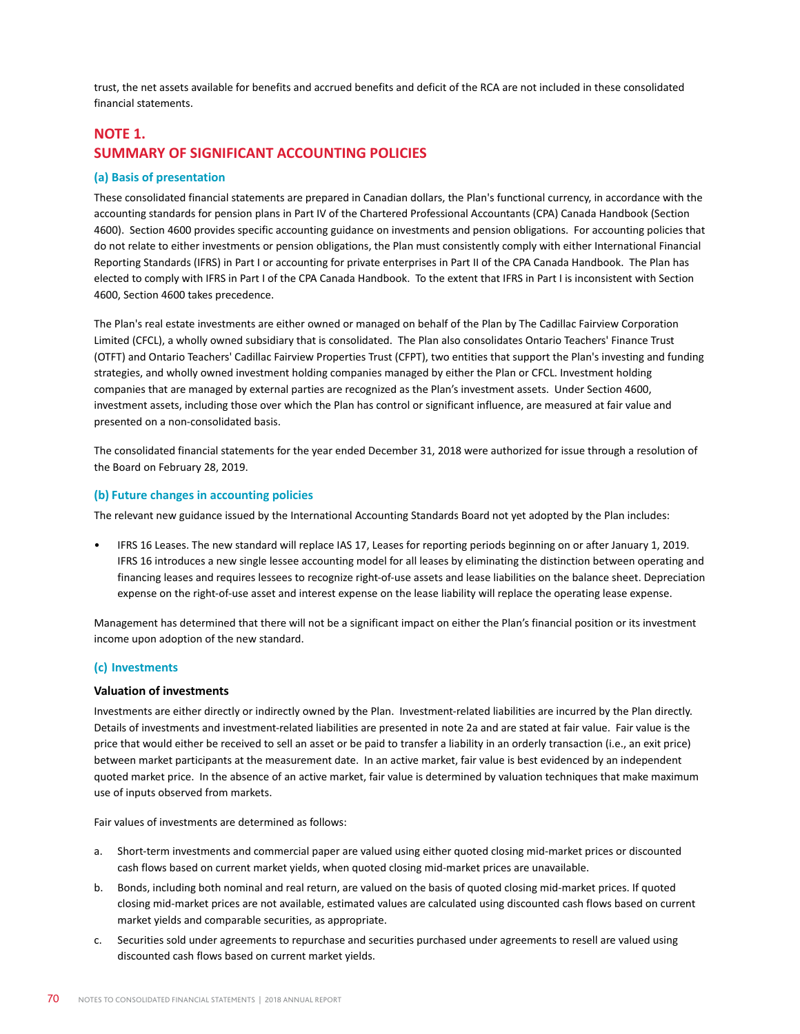trust, the net assets available for benefits and accrued benefits and deficit of the RCA are not included in these consolidated financial statements.

# **NOTE 1. SUMMARY OF SIGNIFICANT ACCOUNTING POLICIES**

## **(a) Basis of presentation**

These consolidated financial statements are prepared in Canadian dollars, the Plan's functional currency, in accordance with the accounting standards for pension plans in Part IV of the Chartered Professional Accountants (CPA) Canada Handbook (Section 4600). Section 4600 provides specific accounting guidance on investments and pension obligations. For accounting policies that do not relate to either investments or pension obligations, the Plan must consistently comply with either International Financial Reporting Standards (IFRS) in Part I or accounting for private enterprises in Part II of the CPA Canada Handbook. The Plan has elected to comply with IFRS in Part I of the CPA Canada Handbook. To the extent that IFRS in Part I is inconsistent with Section 4600, Section 4600 takes precedence.

The Plan's real estate investments are either owned or managed on behalf of the Plan by The Cadillac Fairview Corporation Limited (CFCL), a wholly owned subsidiary that is consolidated. The Plan also consolidates Ontario Teachers' Finance Trust (OTFT) and Ontario Teachers' Cadillac Fairview Properties Trust (CFPT), two entities that support the Plan's investing and funding strategies, and wholly owned investment holding companies managed by either the Plan or CFCL. Investment holding companies that are managed by external parties are recognized as the Plan's investment assets. Under Section 4600, investment assets, including those over which the Plan has control or significant influence, are measured at fair value and presented on a non-consolidated basis.

The consolidated financial statements for the year ended December 31, 2018 were authorized for issue through a resolution of the Board on February 28, 2019.

#### **(b) Future changes in accounting policies**

The relevant new guidance issued by the International Accounting Standards Board not yet adopted by the Plan includes:

• IFRS 16 Leases. The new standard will replace IAS 17, Leases for reporting periods beginning on or after January 1, 2019. IFRS 16 introduces a new single lessee accounting model for all leases by eliminating the distinction between operating and financing leases and requires lessees to recognize right-of-use assets and lease liabilities on the balance sheet. Depreciation expense on the right-of-use asset and interest expense on the lease liability will replace the operating lease expense.

Management has determined that there will not be a significant impact on either the Plan's financial position or its investment income upon adoption of the new standard.

## **(c) Investments**

#### **Valuation of investments**

Investments are either directly or indirectly owned by the Plan. Investment-related liabilities are incurred by the Plan directly. Details of investments and investment-related liabilities are presented in note 2a and are stated at fair value. Fair value is the price that would either be received to sell an asset or be paid to transfer a liability in an orderly transaction (i.e., an exit price) between market participants at the measurement date. In an active market, fair value is best evidenced by an independent quoted market price. In the absence of an active market, fair value is determined by valuation techniques that make maximum use of inputs observed from markets.

Fair values of investments are determined as follows:

- a. Short-term investments and commercial paper are valued using either quoted closing mid-market prices or discounted cash flows based on current market yields, when quoted closing mid-market prices are unavailable.
- b. Bonds, including both nominal and real return, are valued on the basis of quoted closing mid-market prices. If quoted closing mid-market prices are not available, estimated values are calculated using discounted cash flows based on current market yields and comparable securities, as appropriate.
- c. Securities sold under agreements to repurchase and securities purchased under agreements to resell are valued using discounted cash flows based on current market yields.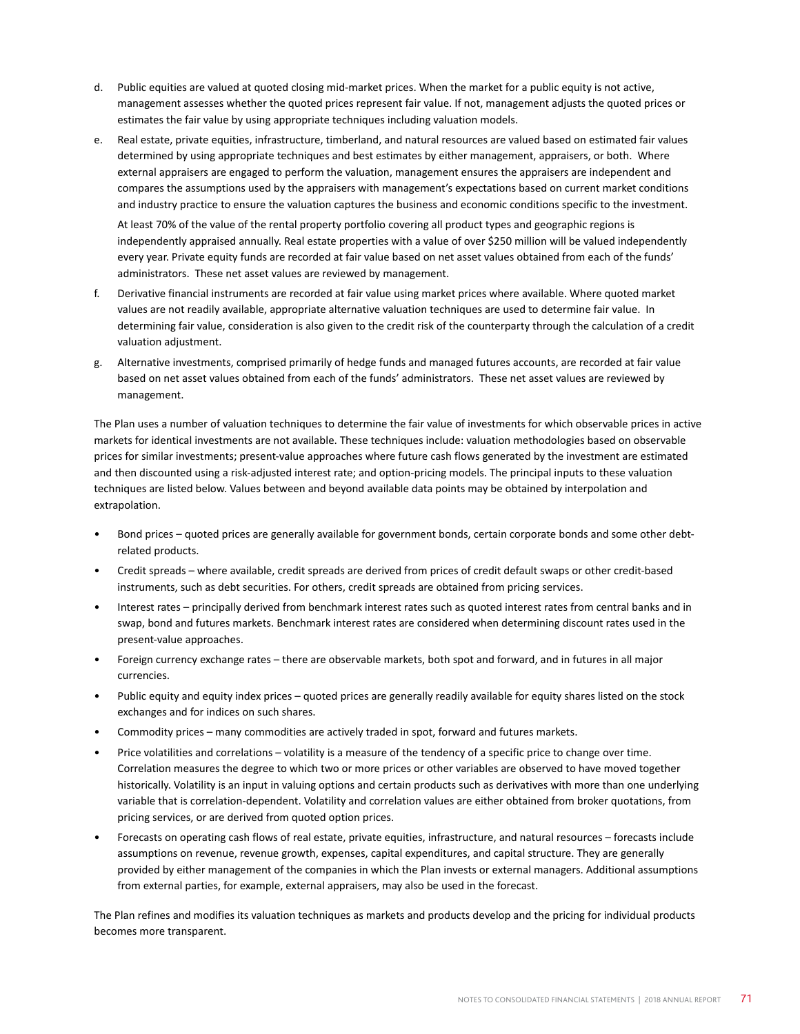- d. Public equities are valued at quoted closing mid-market prices. When the market for a public equity is not active, management assesses whether the quoted prices represent fair value. If not, management adjusts the quoted prices or estimates the fair value by using appropriate techniques including valuation models.
- e. Real estate, private equities, infrastructure, timberland, and natural resources are valued based on estimated fair values determined by using appropriate techniques and best estimates by either management, appraisers, or both. Where external appraisers are engaged to perform the valuation, management ensures the appraisers are independent and compares the assumptions used by the appraisers with management's expectations based on current market conditions and industry practice to ensure the valuation captures the business and economic conditions specific to the investment.

At least 70% of the value of the rental property portfolio covering all product types and geographic regions is independently appraised annually. Real estate properties with a value of over \$250 million will be valued independently every year. Private equity funds are recorded at fair value based on net asset values obtained from each of the funds' administrators. These net asset values are reviewed by management.

- f. Derivative financial instruments are recorded at fair value using market prices where available. Where quoted market values are not readily available, appropriate alternative valuation techniques are used to determine fair value. In determining fair value, consideration is also given to the credit risk of the counterparty through the calculation of a credit valuation adjustment.
- g. Alternative investments, comprised primarily of hedge funds and managed futures accounts, are recorded at fair value based on net asset values obtained from each of the funds' administrators. These net asset values are reviewed by management.

The Plan uses a number of valuation techniques to determine the fair value of investments for which observable prices in active markets for identical investments are not available. These techniques include: valuation methodologies based on observable prices for similar investments; present-value approaches where future cash flows generated by the investment are estimated and then discounted using a risk-adjusted interest rate; and option-pricing models. The principal inputs to these valuation techniques are listed below. Values between and beyond available data points may be obtained by interpolation and extrapolation.

- Bond prices quoted prices are generally available for government bonds, certain corporate bonds and some other debtrelated products.
- Credit spreads where available, credit spreads are derived from prices of credit default swaps or other credit-based instruments, such as debt securities. For others, credit spreads are obtained from pricing services.
- Interest rates principally derived from benchmark interest rates such as quoted interest rates from central banks and in swap, bond and futures markets. Benchmark interest rates are considered when determining discount rates used in the present-value approaches.
- Foreign currency exchange rates there are observable markets, both spot and forward, and in futures in all major currencies.
- Public equity and equity index prices quoted prices are generally readily available for equity shares listed on the stock exchanges and for indices on such shares.
- Commodity prices many commodities are actively traded in spot, forward and futures markets.
- Price volatilities and correlations volatility is a measure of the tendency of a specific price to change over time. Correlation measures the degree to which two or more prices or other variables are observed to have moved together historically. Volatility is an input in valuing options and certain products such as derivatives with more than one underlying variable that is correlation-dependent. Volatility and correlation values are either obtained from broker quotations, from pricing services, or are derived from quoted option prices.
- Forecasts on operating cash flows of real estate, private equities, infrastructure, and natural resources forecasts include assumptions on revenue, revenue growth, expenses, capital expenditures, and capital structure. They are generally provided by either management of the companies in which the Plan invests or external managers. Additional assumptions from external parties, for example, external appraisers, may also be used in the forecast.

The Plan refines and modifies its valuation techniques as markets and products develop and the pricing for individual products becomes more transparent.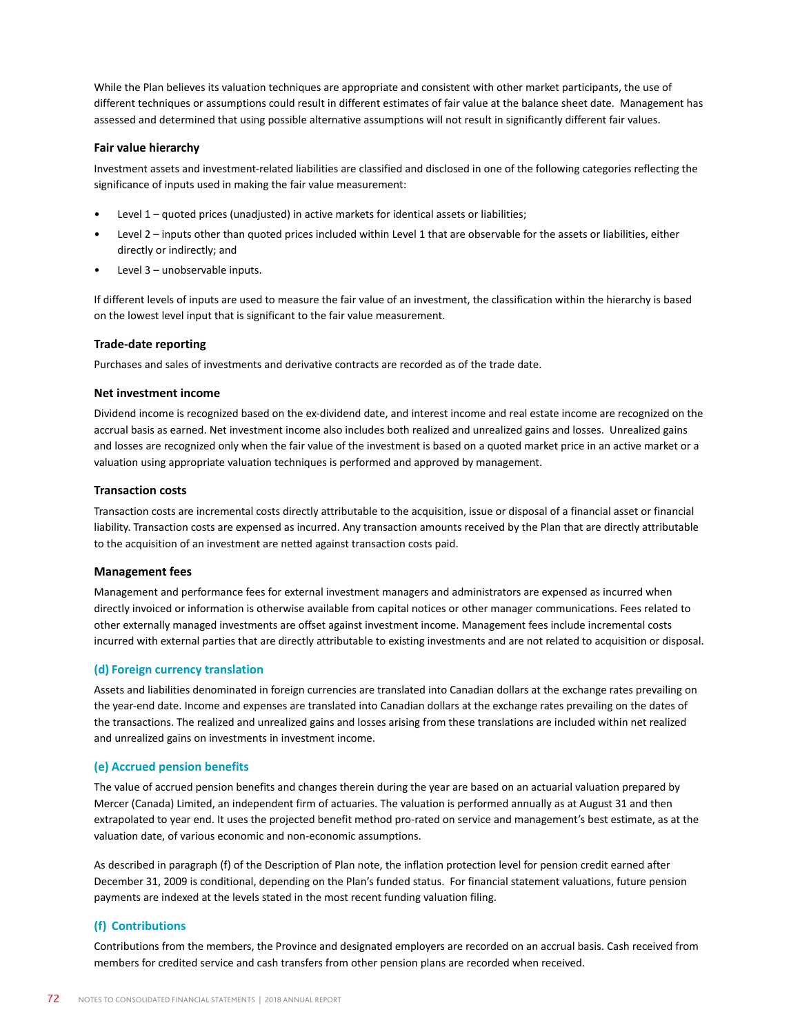While the Plan believes its valuation techniques are appropriate and consistent with other market participants, the use of different techniques or assumptions could result in different estimates of fair value at the balance sheet date. Management has assessed and determined that using possible alternative assumptions will not result in significantly different fair values.

#### **Fair value hierarchy**

Investment assets and investment-related liabilities are classified and disclosed in one of the following categories reflecting the significance of inputs used in making the fair value measurement:

- Level 1 quoted prices (unadjusted) in active markets for identical assets or liabilities;
- Level 2 inputs other than quoted prices included within Level 1 that are observable for the assets or liabilities, either directly or indirectly; and
- Level 3 unobservable inputs.

If different levels of inputs are used to measure the fair value of an investment, the classification within the hierarchy is based on the lowest level input that is significant to the fair value measurement.

### **Trade-date reporting**

Purchases and sales of investments and derivative contracts are recorded as of the trade date.

#### **Net investment income**

Dividend income is recognized based on the ex-dividend date, and interest income and real estate income are recognized on the accrual basis as earned. Net investment income also includes both realized and unrealized gains and losses. Unrealized gains and losses are recognized only when the fair value of the investment is based on a quoted market price in an active market or a valuation using appropriate valuation techniques is performed and approved by management.

#### **Transaction costs**

Transaction costs are incremental costs directly attributable to the acquisition, issue or disposal of a financial asset or financial liability. Transaction costs are expensed as incurred. Any transaction amounts received by the Plan that are directly attributable to the acquisition of an investment are netted against transaction costs paid.

#### **Management fees**

Management and performance fees for external investment managers and administrators are expensed as incurred when directly invoiced or information is otherwise available from capital notices or other manager communications. Fees related to other externally managed investments are offset against investment income. Management fees include incremental costs incurred with external parties that are directly attributable to existing investments and are not related to acquisition or disposal.

#### **(d) Foreign currency translation**

Assets and liabilities denominated in foreign currencies are translated into Canadian dollars at the exchange rates prevailing on the year-end date. Income and expenses are translated into Canadian dollars at the exchange rates prevailing on the dates of the transactions. The realized and unrealized gains and losses arising from these translations are included within net realized and unrealized gains on investments in investment income.

#### **(e) Accrued pension benefits**

The value of accrued pension benefits and changes therein during the year are based on an actuarial valuation prepared by Mercer (Canada) Limited, an independent firm of actuaries. The valuation is performed annually as at August 31 and then extrapolated to year end. It uses the projected benefit method pro-rated on service and management's best estimate, as at the valuation date, of various economic and non-economic assumptions.

As described in paragraph (f) of the Description of Plan note, the inflation protection level for pension credit earned after December 31, 2009 is conditional, depending on the Plan's funded status. For financial statement valuations, future pension payments are indexed at the levels stated in the most recent funding valuation filing.

#### **(f) Contributions**

Contributions from the members, the Province and designated employers are recorded on an accrual basis. Cash received from members for credited service and cash transfers from other pension plans are recorded when received.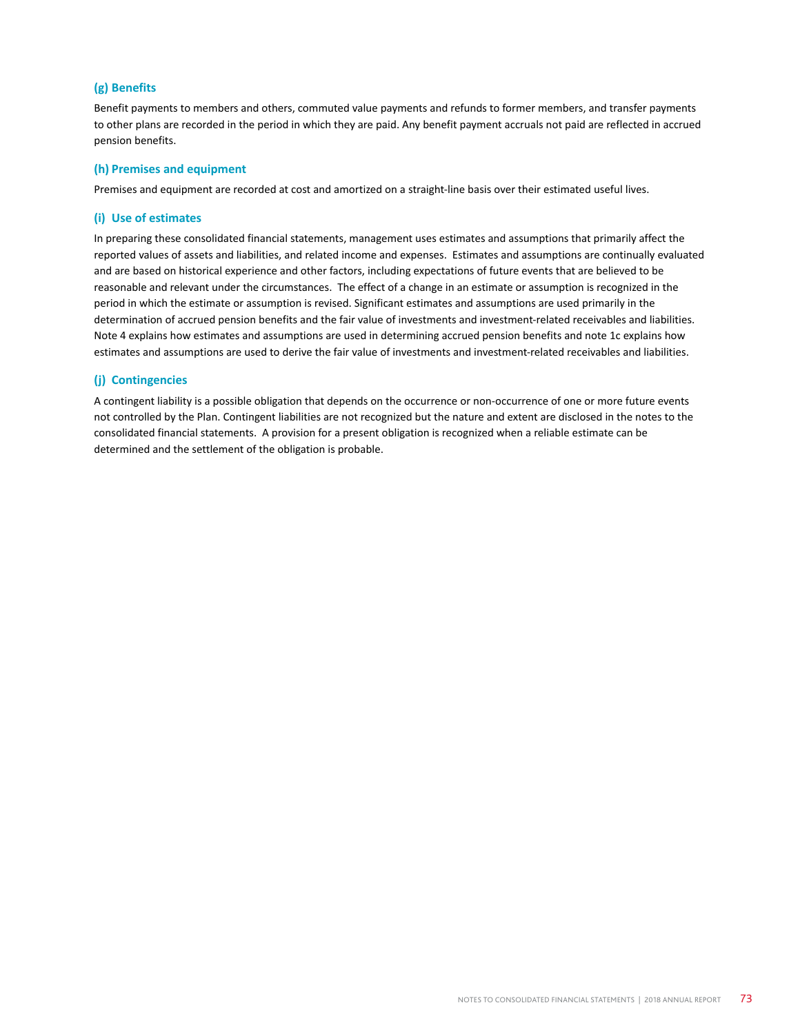### **(g) Benefits**

Benefit payments to members and others, commuted value payments and refunds to former members, and transfer payments to other plans are recorded in the period in which they are paid. Any benefit payment accruals not paid are reflected in accrued pension benefits.

#### **(h) Premises and equipment**

Premises and equipment are recorded at cost and amortized on a straight-line basis over their estimated useful lives.

#### **(i) Use of estimates**

In preparing these consolidated financial statements, management uses estimates and assumptions that primarily affect the reported values of assets and liabilities, and related income and expenses. Estimates and assumptions are continually evaluated and are based on historical experience and other factors, including expectations of future events that are believed to be reasonable and relevant under the circumstances. The effect of a change in an estimate or assumption is recognized in the period in which the estimate or assumption is revised. Significant estimates and assumptions are used primarily in the determination of accrued pension benefits and the fair value of investments and investment-related receivables and liabilities. Note 4 explains how estimates and assumptions are used in determining accrued pension benefits and note 1c explains how estimates and assumptions are used to derive the fair value of investments and investment-related receivables and liabilities.

#### **(j) Contingencies**

A contingent liability is a possible obligation that depends on the occurrence or non-occurrence of one or more future events not controlled by the Plan. Contingent liabilities are not recognized but the nature and extent are disclosed in the notes to the consolidated financial statements. A provision for a present obligation is recognized when a reliable estimate can be determined and the settlement of the obligation is probable.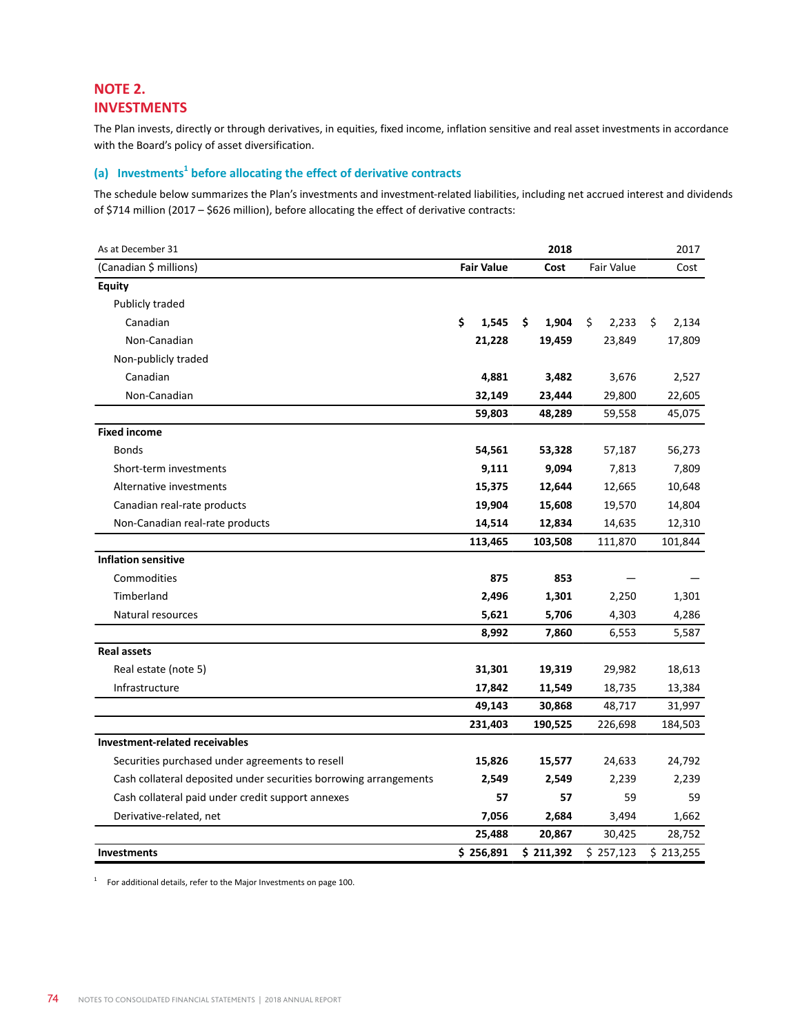# **NOTE 2. INVESTMENTS**

The Plan invests, directly or through derivatives, in equities, fixed income, inflation sensitive and real asset investments in accordance with the Board's policy of asset diversification.

# **(a) Investments<sup>1</sup> before allocating the effect of derivative contracts**

The schedule below summarizes the Plan's investments and investment-related liabilities, including net accrued interest and dividends of \$714 million (2017 – \$626 million), before allocating the effect of derivative contracts:

| As at December 31                                                 |                   | 2018        |                   | 2017        |
|-------------------------------------------------------------------|-------------------|-------------|-------------------|-------------|
| (Canadian \$ millions)                                            | <b>Fair Value</b> | Cost        | <b>Fair Value</b> | Cost        |
| <b>Equity</b>                                                     |                   |             |                   |             |
| Publicly traded                                                   |                   |             |                   |             |
| Canadian                                                          | Ś.<br>1,545       | \$<br>1,904 | \$<br>2,233       | \$<br>2,134 |
| Non-Canadian                                                      | 21,228            | 19,459      | 23,849            | 17,809      |
| Non-publicly traded                                               |                   |             |                   |             |
| Canadian                                                          | 4,881             | 3,482       | 3,676             | 2,527       |
| Non-Canadian                                                      | 32,149            | 23,444      | 29,800            | 22,605      |
|                                                                   | 59,803            | 48,289      | 59,558            | 45,075      |
| <b>Fixed income</b>                                               |                   |             |                   |             |
| <b>Bonds</b>                                                      | 54,561            | 53,328      | 57,187            | 56,273      |
| Short-term investments                                            | 9,111             | 9,094       | 7,813             | 7,809       |
| Alternative investments                                           | 15,375            | 12,644      | 12,665            | 10,648      |
| Canadian real-rate products                                       | 19,904            | 15,608      | 19,570            | 14,804      |
| Non-Canadian real-rate products                                   | 14,514            | 12,834      | 14,635            | 12,310      |
|                                                                   | 113,465           | 103,508     | 111,870           | 101,844     |
| <b>Inflation sensitive</b>                                        |                   |             |                   |             |
| Commodities                                                       | 875               | 853         |                   |             |
| Timberland                                                        | 2,496             | 1,301       | 2,250             | 1,301       |
| Natural resources                                                 | 5,621             | 5,706       | 4,303             | 4,286       |
|                                                                   | 8,992             | 7,860       | 6,553             | 5,587       |
| <b>Real assets</b>                                                |                   |             |                   |             |
| Real estate (note 5)                                              | 31,301            | 19,319      | 29,982            | 18,613      |
| Infrastructure                                                    | 17,842            | 11,549      | 18,735            | 13,384      |
|                                                                   | 49,143            | 30,868      | 48,717            | 31,997      |
|                                                                   | 231,403           | 190,525     | 226,698           | 184,503     |
| <b>Investment-related receivables</b>                             |                   |             |                   |             |
| Securities purchased under agreements to resell                   | 15,826            | 15,577      | 24,633            | 24,792      |
| Cash collateral deposited under securities borrowing arrangements | 2,549             | 2,549       | 2,239             | 2,239       |
| Cash collateral paid under credit support annexes                 | 57                | 57          | 59                | 59          |
| Derivative-related, net                                           | 7,056             | 2,684       | 3,494             | 1,662       |
|                                                                   | 25,488            | 20,867      | 30,425            | 28,752      |
| <b>Investments</b>                                                | \$256,891         | \$211,392   | \$257,123         | \$213,255   |

 $1$  For additional details, refer to the Major Investments on page 100.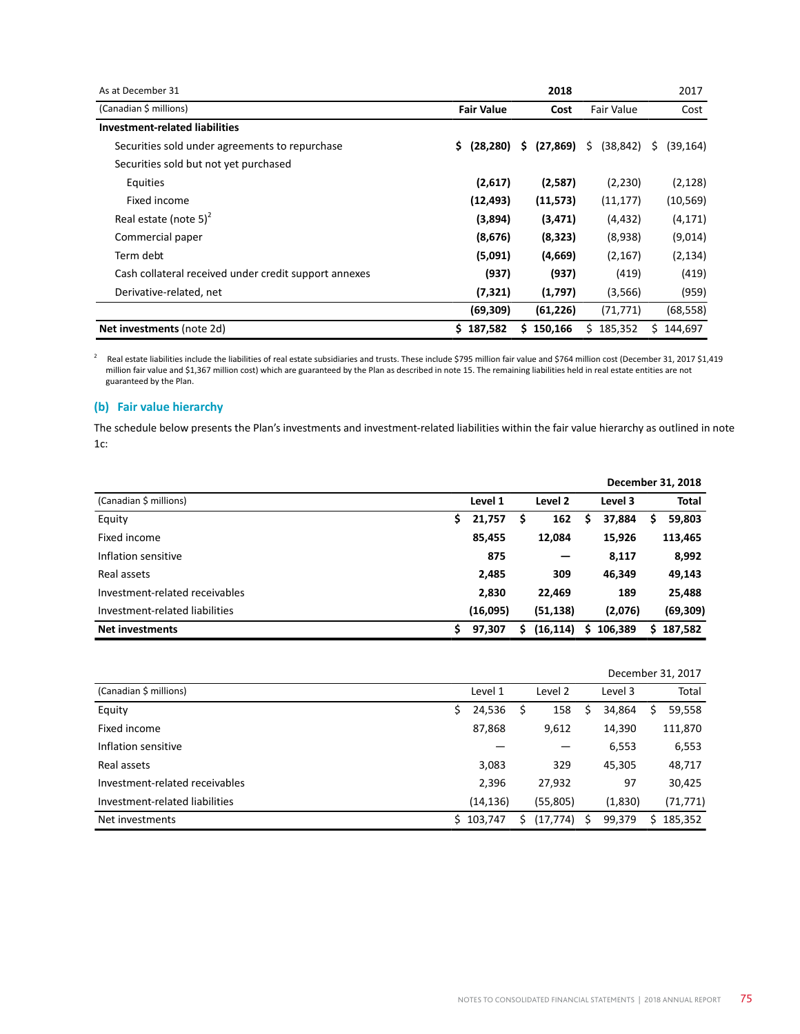| As at December 31                                     |                   | 2018                          |               |                 |  |  |  |  |
|-------------------------------------------------------|-------------------|-------------------------------|---------------|-----------------|--|--|--|--|
| (Canadian \$ millions)                                | <b>Fair Value</b> | Cost                          | Fair Value    | Cost            |  |  |  |  |
| <b>Investment-related liabilities</b>                 |                   |                               |               |                 |  |  |  |  |
| Securities sold under agreements to repurchase        | \$.               | $(28, 280)$ \$ $(27, 869)$ \$ | (38,842)      | Ŝ.<br>(39, 164) |  |  |  |  |
| Securities sold but not yet purchased                 |                   |                               |               |                 |  |  |  |  |
| Equities                                              | (2,617)           | (2,587)                       | (2,230)       | (2, 128)        |  |  |  |  |
| Fixed income                                          | (12, 493)         | (11, 573)                     | (11, 177)     | (10, 569)       |  |  |  |  |
| Real estate (note 5) <sup>2</sup>                     | (3,894)           | (3, 471)                      | (4, 432)      | (4, 171)        |  |  |  |  |
| Commercial paper                                      | (8,676)           | (8,323)                       | (8,938)       | (9,014)         |  |  |  |  |
| Term debt                                             | (5,091)           | (4,669)                       | (2, 167)      | (2, 134)        |  |  |  |  |
| Cash collateral received under credit support annexes | (937)             | (937)                         | (419)         | (419)           |  |  |  |  |
| Derivative-related, net                               | (7, 321)          | (1,797)                       | (3,566)       | (959)           |  |  |  |  |
|                                                       | (69, 309)         | (61, 226)                     | (71, 771)     | (68, 558)       |  |  |  |  |
| Net investments (note 2d)                             | \$187.582         | 150.166<br>S.                 | 185,352<br>S. | 144.697<br>S.   |  |  |  |  |

<sup>2</sup> Real estate liabilities include the liabilities of real estate subsidiaries and trusts. These include \$795 million fair value and \$764 million cost (December 31, 2017 \$1,419 million fair value and \$1,367 million cost) which are guaranteed by the Plan as described in note 15. The remaining liabilities held in real estate entities are not guaranteed by the Plan.

### **(b) Fair value hierarchy**

The schedule below presents the Plan's investments and investment-related liabilities within the fair value hierarchy as outlined in note 1c:

|                                |    | December 31, 2018 |   |           |         |         |    |           |  |              |
|--------------------------------|----|-------------------|---|-----------|---------|---------|----|-----------|--|--------------|
| (Canadian \$ millions)         |    | Level 1           |   | Level 2   | Level 3 |         |    |           |  | <b>Total</b> |
| Equity                         | \$ | 21,757            | S | 162       | S       | 37,884  | S  | 59,803    |  |              |
| Fixed income                   |    | 85,455            |   | 12,084    |         | 15,926  |    | 113,465   |  |              |
| Inflation sensitive            |    | 875               |   |           |         | 8,117   |    | 8,992     |  |              |
| Real assets                    |    | 2,485             |   | 309       |         | 46,349  |    | 49,143    |  |              |
| Investment-related receivables |    | 2,830             |   | 22,469    |         | 189     |    | 25,488    |  |              |
| Investment-related liabilities |    | (16,095)          |   | (51, 138) |         | (2,076) |    | (69, 309) |  |              |
| <b>Net investments</b>         | S  | 97,307            |   | (16, 114) | s.      | 106,389 | S. | 187,582   |  |              |

|                                | December 31, 2017 |           |   |           |         |         |   |           |  |
|--------------------------------|-------------------|-----------|---|-----------|---------|---------|---|-----------|--|
| (Canadian \$ millions)         |                   | Level 1   |   | Level 2   | Level 3 |         |   | Total     |  |
| Equity                         | \$                | 24,536    | S | 158       |         | 34,864  |   | 59,558    |  |
| Fixed income                   |                   | 87,868    |   | 9,612     |         | 14,390  |   | 111,870   |  |
| Inflation sensitive            |                   |           |   |           |         | 6,553   |   | 6,553     |  |
| Real assets                    |                   | 3,083     |   | 329       |         | 45,305  |   | 48,717    |  |
| Investment-related receivables |                   | 2,396     |   | 27,932    |         | 97      |   | 30,425    |  |
| Investment-related liabilities |                   | (14, 136) |   | (55,805)  |         | (1,830) |   | (71, 771) |  |
| Net investments                |                   | \$103,747 |   | (17, 774) | ς       | 99,379  | S | 185,352   |  |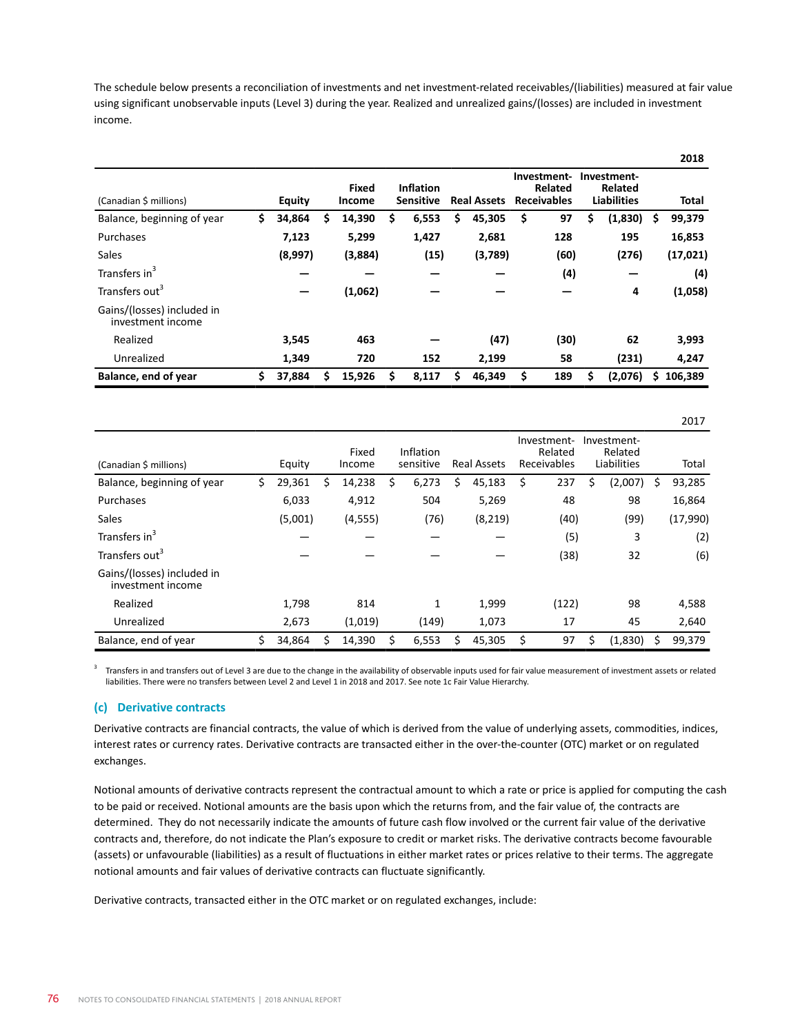The schedule below presents a reconciliation of investments and net investment-related receivables/(liabilities) measured at fair value using significant unobservable inputs (Level 3) during the year. Realized and unrealized gains/(losses) are included in investment income.

|                                                 |               |    |                 |                                      |    |                    |                                                     |                                              |    | 2018      |
|-------------------------------------------------|---------------|----|-----------------|--------------------------------------|----|--------------------|-----------------------------------------------------|----------------------------------------------|----|-----------|
| (Canadian \$ millions)                          | <b>Equity</b> |    | Fixed<br>Income | <b>Inflation</b><br><b>Sensitive</b> |    | <b>Real Assets</b> | Investment-<br><b>Related</b><br><b>Receivables</b> | Investment-<br>Related<br><b>Liabilities</b> |    | Total     |
| Balance, beginning of year                      | \$<br>34,864  | \$ | 14,390          | \$<br>6,553                          | \$ | 45,305             | \$<br>97                                            | \$<br>(1,830)                                | \$ | 99,379    |
| Purchases                                       | 7,123         |    | 5,299           | 1,427                                |    | 2,681              | 128                                                 | 195                                          |    | 16,853    |
| <b>Sales</b>                                    | (8,997)       |    | (3,884)         | (15)                                 |    | (3,789)            | (60)                                                | (276)                                        |    | (17, 021) |
| Transfers in <sup>3</sup>                       |               |    |                 |                                      |    |                    | (4)                                                 |                                              |    | (4)       |
| Transfers out <sup>3</sup>                      | –             |    | (1,062)         |                                      |    |                    |                                                     | 4                                            |    | (1,058)   |
| Gains/(losses) included in<br>investment income |               |    |                 |                                      |    |                    |                                                     |                                              |    |           |
| Realized                                        | 3,545         |    | 463             |                                      |    | (47)               | (30)                                                | 62                                           |    | 3,993     |
| Unrealized                                      | 1,349         |    | 720             | 152                                  |    | 2,199              | 58                                                  | (231)                                        |    | 4,247     |
| Balance, end of year                            | \$<br>37,884  | Ś  | 15,926          | \$<br>8,117                          | s  | 46.349             | \$<br>189                                           | \$<br>(2,076)                                | s  | 106.389   |

|                                                 |    |         |                 |   |                        |    |                    |                                       |   |                                       |    | 2017     |
|-------------------------------------------------|----|---------|-----------------|---|------------------------|----|--------------------|---------------------------------------|---|---------------------------------------|----|----------|
| (Canadian \$ millions)                          |    | Equity  | Fixed<br>Income |   | Inflation<br>sensitive |    | <b>Real Assets</b> | Investment-<br>Related<br>Receivables |   | Investment-<br>Related<br>Liabilities |    | Total    |
| Balance, beginning of year                      | \$ | 29,361  | \$<br>14,238    | Ś | 6,273                  | \$ | 45,183             | \$<br>237                             | Ş | (2,007)                               | \$ | 93,285   |
| Purchases                                       |    | 6,033   | 4,912           |   | 504                    |    | 5,269              | 48                                    |   | 98                                    |    | 16,864   |
| Sales                                           |    | (5,001) | (4, 555)        |   | (76)                   |    | (8, 219)           | (40)                                  |   | (99)                                  |    | (17,990) |
| Transfers in <sup>3</sup>                       |    |         |                 |   |                        |    |                    | (5)                                   |   | 3                                     |    | (2)      |
| Transfers out <sup>3</sup>                      |    |         |                 |   |                        |    |                    | (38)                                  |   | 32                                    |    | (6)      |
| Gains/(losses) included in<br>investment income |    |         |                 |   |                        |    |                    |                                       |   |                                       |    |          |
| Realized                                        |    | 1,798   | 814             |   | 1                      |    | 1,999              | (122)                                 |   | 98                                    |    | 4,588    |
| Unrealized                                      |    | 2,673   | (1,019)         |   | (149)                  |    | 1,073              | 17                                    |   | 45                                    |    | 2,640    |
| Balance, end of year                            | Ś  | 34,864  | 14,390          | Ś | 6,553                  | Ś  | 45,305             | \$<br>97                              | Ś | (1,830)                               | S  | 99,379   |

<sup>3</sup>Transfers in and transfers out of Level 3 are due to the change in the availability of observable inputs used for fair value measurement of investment assets or related liabilities. There were no transfers between Level 2 and Level 1 in 2018 and 2017. See note 1c Fair Value Hierarchy.

## **(c) Derivative contracts**

Derivative contracts are financial contracts, the value of which is derived from the value of underlying assets, commodities, indices, interest rates or currency rates. Derivative contracts are transacted either in the over-the-counter (OTC) market or on regulated exchanges.

Notional amounts of derivative contracts represent the contractual amount to which a rate or price is applied for computing the cash to be paid or received. Notional amounts are the basis upon which the returns from, and the fair value of, the contracts are determined. They do not necessarily indicate the amounts of future cash flow involved or the current fair value of the derivative contracts and, therefore, do not indicate the Plan's exposure to credit or market risks. The derivative contracts become favourable (assets) or unfavourable (liabilities) as a result of fluctuations in either market rates or prices relative to their terms. The aggregate notional amounts and fair values of derivative contracts can fluctuate significantly.

Derivative contracts, transacted either in the OTC market or on regulated exchanges, include: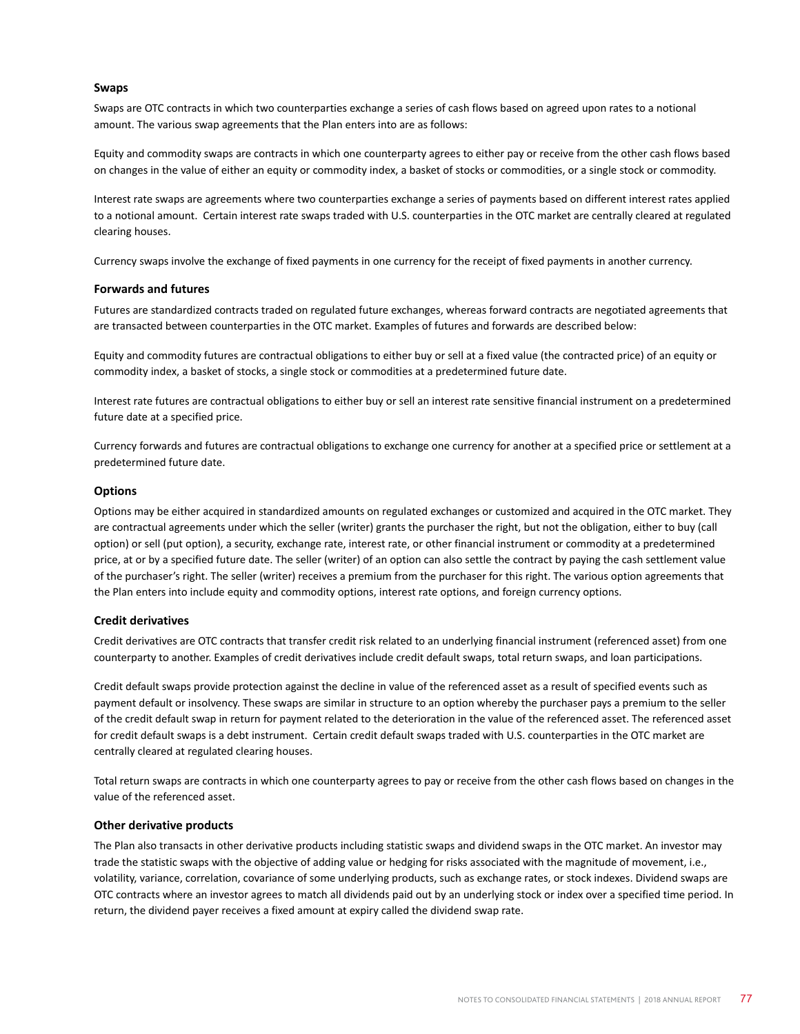#### **Swaps**

Swaps are OTC contracts in which two counterparties exchange a series of cash flows based on agreed upon rates to a notional amount. The various swap agreements that the Plan enters into are as follows:

Equity and commodity swaps are contracts in which one counterparty agrees to either pay or receive from the other cash flows based on changes in the value of either an equity or commodity index, a basket of stocks or commodities, or a single stock or commodity.

Interest rate swaps are agreements where two counterparties exchange a series of payments based on different interest rates applied to a notional amount. Certain interest rate swaps traded with U.S. counterparties in the OTC market are centrally cleared at regulated clearing houses.

Currency swaps involve the exchange of fixed payments in one currency for the receipt of fixed payments in another currency.

#### **Forwards and futures**

Futures are standardized contracts traded on regulated future exchanges, whereas forward contracts are negotiated agreements that are transacted between counterparties in the OTC market. Examples of futures and forwards are described below:

Equity and commodity futures are contractual obligations to either buy or sell at a fixed value (the contracted price) of an equity or commodity index, a basket of stocks, a single stock or commodities at a predetermined future date.

Interest rate futures are contractual obligations to either buy or sell an interest rate sensitive financial instrument on a predetermined future date at a specified price.

Currency forwards and futures are contractual obligations to exchange one currency for another at a specified price or settlement at a predetermined future date.

#### **Options**

Options may be either acquired in standardized amounts on regulated exchanges or customized and acquired in the OTC market. They are contractual agreements under which the seller (writer) grants the purchaser the right, but not the obligation, either to buy (call option) or sell (put option), a security, exchange rate, interest rate, or other financial instrument or commodity at a predetermined price, at or by a specified future date. The seller (writer) of an option can also settle the contract by paying the cash settlement value of the purchaser's right. The seller (writer) receives a premium from the purchaser for this right. The various option agreements that the Plan enters into include equity and commodity options, interest rate options, and foreign currency options.

#### **Credit derivatives**

Credit derivatives are OTC contracts that transfer credit risk related to an underlying financial instrument (referenced asset) from one counterparty to another. Examples of credit derivatives include credit default swaps, total return swaps, and loan participations.

Credit default swaps provide protection against the decline in value of the referenced asset as a result of specified events such as payment default or insolvency. These swaps are similar in structure to an option whereby the purchaser pays a premium to the seller of the credit default swap in return for payment related to the deterioration in the value of the referenced asset. The referenced asset for credit default swaps is a debt instrument. Certain credit default swaps traded with U.S. counterparties in the OTC market are centrally cleared at regulated clearing houses.

Total return swaps are contracts in which one counterparty agrees to pay or receive from the other cash flows based on changes in the value of the referenced asset.

#### **Other derivative products**

The Plan also transacts in other derivative products including statistic swaps and dividend swaps in the OTC market. An investor may trade the statistic swaps with the objective of adding value or hedging for risks associated with the magnitude of movement, i.e., volatility, variance, correlation, covariance of some underlying products, such as exchange rates, or stock indexes. Dividend swaps are OTC contracts where an investor agrees to match all dividends paid out by an underlying stock or index over a specified time period. In return, the dividend payer receives a fixed amount at expiry called the dividend swap rate.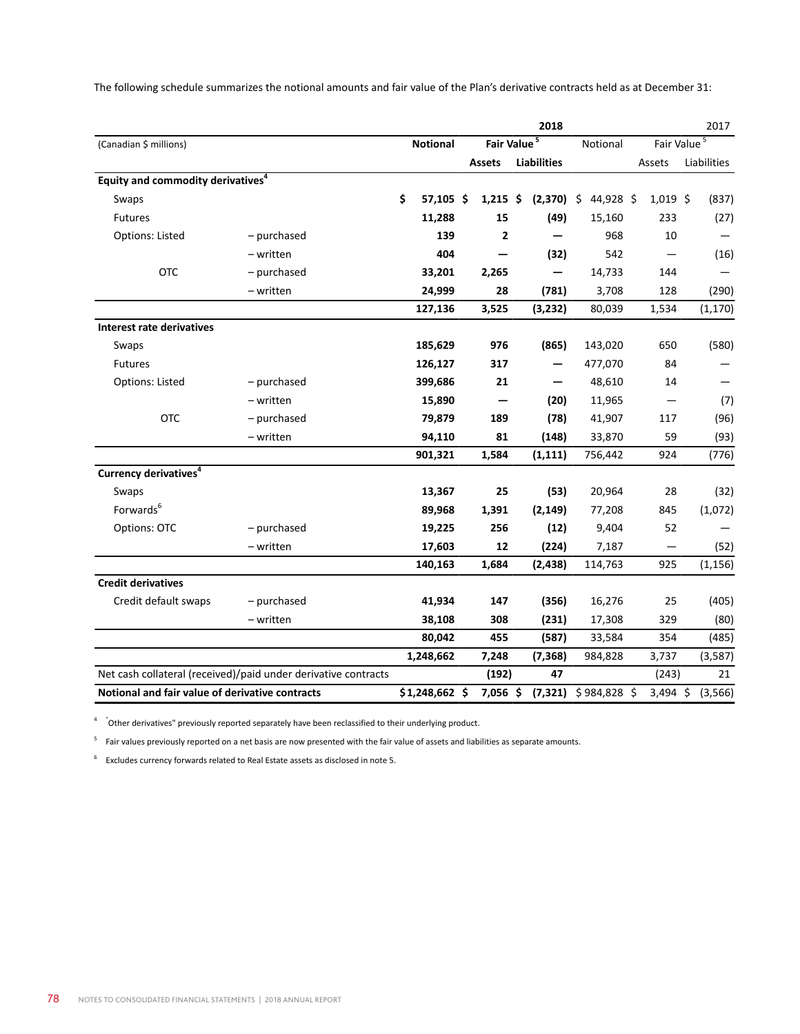|  | The following schedule summarizes the notional amounts and fair value of the Plan's derivative contracts held as at December 31: |
|--|----------------------------------------------------------------------------------------------------------------------------------|
|--|----------------------------------------------------------------------------------------------------------------------------------|

|                                                 |                                                                |                   |               | 2018                    |      |              |                          | 2017        |
|-------------------------------------------------|----------------------------------------------------------------|-------------------|---------------|-------------------------|------|--------------|--------------------------|-------------|
| (Canadian \$ millions)                          |                                                                | Notional          |               | Fair Value <sup>5</sup> |      | Notional     | Fair Value <sup>5</sup>  |             |
|                                                 |                                                                |                   | <b>Assets</b> | <b>Liabilities</b>      |      |              | Assets                   | Liabilities |
| Equity and commodity derivatives <sup>4</sup>   |                                                                |                   |               |                         |      |              |                          |             |
| Swaps                                           |                                                                | \$<br>$57,105$ \$ | $1,215$ \$    | $(2,370)$ \$            |      | 44,928 \$    | $1,019$ \$               | (837)       |
| <b>Futures</b>                                  |                                                                | 11,288            | 15            |                         | (49) | 15,160       | 233                      | (27)        |
| Options: Listed                                 | - purchased                                                    | 139               | 2             |                         |      | 968          | 10                       |             |
|                                                 | - written                                                      | 404               |               |                         | (32) | 542          |                          | (16)        |
| OTC                                             | - purchased                                                    | 33,201            | 2,265         |                         |      | 14,733       | 144                      |             |
|                                                 | - written                                                      | 24,999            | 28            | (781)                   |      | 3,708        | 128                      | (290)       |
|                                                 |                                                                | 127,136           | 3,525         | (3, 232)                |      | 80,039       | 1,534                    | (1, 170)    |
| <b>Interest rate derivatives</b>                |                                                                |                   |               |                         |      |              |                          |             |
| Swaps                                           |                                                                | 185,629           | 976           | (865)                   |      | 143,020      | 650                      | (580)       |
| <b>Futures</b>                                  |                                                                | 126,127           | 317           |                         |      | 477,070      | 84                       |             |
| Options: Listed                                 | - purchased                                                    | 399,686           | 21            |                         | —    | 48,610       | 14                       |             |
|                                                 | $-$ written                                                    | 15,890            |               |                         | (20) | 11,965       | $\overline{\phantom{0}}$ | (7)         |
| <b>OTC</b>                                      | - purchased                                                    | 79,879            | 189           |                         | (78) | 41,907       | 117                      | (96)        |
|                                                 | $-$ written                                                    | 94,110            | 81            | (148)                   |      | 33,870       | 59                       | (93)        |
|                                                 |                                                                | 901,321           | 1,584         | (1, 111)                |      | 756,442      | 924                      | (776)       |
| Currency derivatives <sup>4</sup>               |                                                                |                   |               |                         |      |              |                          |             |
| Swaps                                           |                                                                | 13,367            | 25            |                         | (53) | 20,964       | 28                       | (32)        |
| Forwards <sup>6</sup>                           |                                                                | 89,968            | 1,391         | (2, 149)                |      | 77,208       | 845                      | (1,072)     |
| Options: OTC                                    | - purchased                                                    | 19,225            | 256           |                         | (12) | 9,404        | 52                       |             |
|                                                 | $-$ written                                                    | 17,603            | 12            | (224)                   |      | 7,187        | —                        | (52)        |
|                                                 |                                                                | 140,163           | 1,684         | (2, 438)                |      | 114,763      | 925                      | (1, 156)    |
| <b>Credit derivatives</b>                       |                                                                |                   |               |                         |      |              |                          |             |
| Credit default swaps                            | - purchased                                                    | 41,934            | 147           | (356)                   |      | 16,276       | 25                       | (405)       |
|                                                 | $-$ written                                                    | 38,108            | 308           | (231)                   |      | 17,308       | 329                      | (80)        |
|                                                 |                                                                | 80,042            | 455           | (587)                   |      | 33,584       | 354                      | (485)       |
|                                                 |                                                                | 1,248,662         | 7,248         | (7, 368)                |      | 984,828      | 3,737                    | (3,587)     |
|                                                 | Net cash collateral (received)/paid under derivative contracts |                   | (192)         |                         | 47   |              | (243)                    | 21          |
| Notional and fair value of derivative contracts |                                                                | $$1,248,662$ \$   | 7,056 \$      | (7, 321)                |      | \$984,828 \$ | 3,494 \$                 | (3, 566)    |

4 "Other derivatives" previously reported separately have been reclassified to their underlying product.

 $5$  Fair values previously reported on a net basis are now presented with the fair value of assets and liabilities as separate amounts.

 $6$  Excludes currency forwards related to Real Estate assets as disclosed in note 5.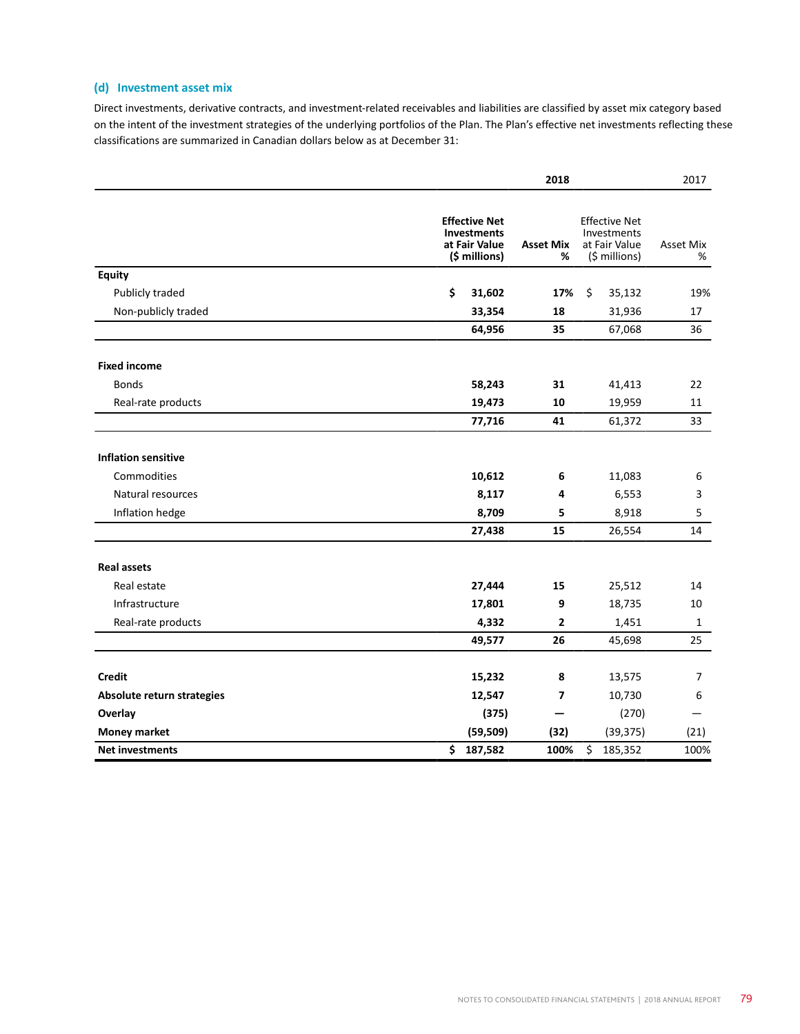## **(d) Investment asset mix**

Direct investments, derivative contracts, and investment-related receivables and liabilities are classified by asset mix category based on the intent of the investment strategies of the underlying portfolios of the Plan. The Plan's effective net investments reflecting these classifications are summarized in Canadian dollars below as at December 31:

|                            |                                                                              | 2018                  |                                                                       |                |  |  |  |  |  |
|----------------------------|------------------------------------------------------------------------------|-----------------------|-----------------------------------------------------------------------|----------------|--|--|--|--|--|
|                            | <b>Effective Net</b><br><b>Investments</b><br>at Fair Value<br>(\$ millions) | <b>Asset Mix</b><br>% | <b>Effective Net</b><br>Investments<br>at Fair Value<br>(\$ millions) | Asset Mix<br>% |  |  |  |  |  |
| Equity                     |                                                                              |                       |                                                                       |                |  |  |  |  |  |
| Publicly traded            | \$<br>31,602                                                                 | 17%                   | \$<br>35,132                                                          | 19%            |  |  |  |  |  |
| Non-publicly traded        | 33,354                                                                       | 18                    | 31,936                                                                | 17             |  |  |  |  |  |
|                            | 64,956                                                                       | 35                    | 67,068                                                                | 36             |  |  |  |  |  |
| <b>Fixed income</b>        |                                                                              |                       |                                                                       |                |  |  |  |  |  |
| <b>Bonds</b>               | 58,243                                                                       | 31                    | 41,413                                                                | 22             |  |  |  |  |  |
| Real-rate products         | 19,473                                                                       | 10                    | 19,959                                                                | 11             |  |  |  |  |  |
|                            | 77,716                                                                       | 41                    | 61,372                                                                | 33             |  |  |  |  |  |
| <b>Inflation sensitive</b> |                                                                              |                       |                                                                       |                |  |  |  |  |  |
| Commodities                | 10,612                                                                       | 6                     | 11,083                                                                | 6              |  |  |  |  |  |
| Natural resources          | 8,117                                                                        | 4                     | 6,553                                                                 | 3              |  |  |  |  |  |
| Inflation hedge            | 8,709                                                                        | 5                     | 8,918                                                                 | 5              |  |  |  |  |  |
|                            | 27,438                                                                       | 15                    | 26,554                                                                | 14             |  |  |  |  |  |
| <b>Real assets</b>         |                                                                              |                       |                                                                       |                |  |  |  |  |  |
| Real estate                | 27,444                                                                       | 15                    | 25,512                                                                | 14             |  |  |  |  |  |
| Infrastructure             | 17,801                                                                       | 9                     | 18,735                                                                | 10             |  |  |  |  |  |
| Real-rate products         | 4,332                                                                        | $\mathbf{2}$          | 1,451                                                                 | 1              |  |  |  |  |  |
|                            | 49,577                                                                       | 26                    | 45,698                                                                | 25             |  |  |  |  |  |
| <b>Credit</b>              | 15,232                                                                       | 8                     | 13,575                                                                | 7              |  |  |  |  |  |
| Absolute return strategies | 12,547                                                                       | 7                     | 10,730                                                                | 6              |  |  |  |  |  |
| Overlay                    | (375)                                                                        |                       | (270)                                                                 |                |  |  |  |  |  |
| <b>Money market</b>        | (59, 509)                                                                    | (32)                  | (39, 375)                                                             | (21)           |  |  |  |  |  |
| <b>Net investments</b>     | \$187,582                                                                    | 100%                  | \$<br>185,352                                                         | 100%           |  |  |  |  |  |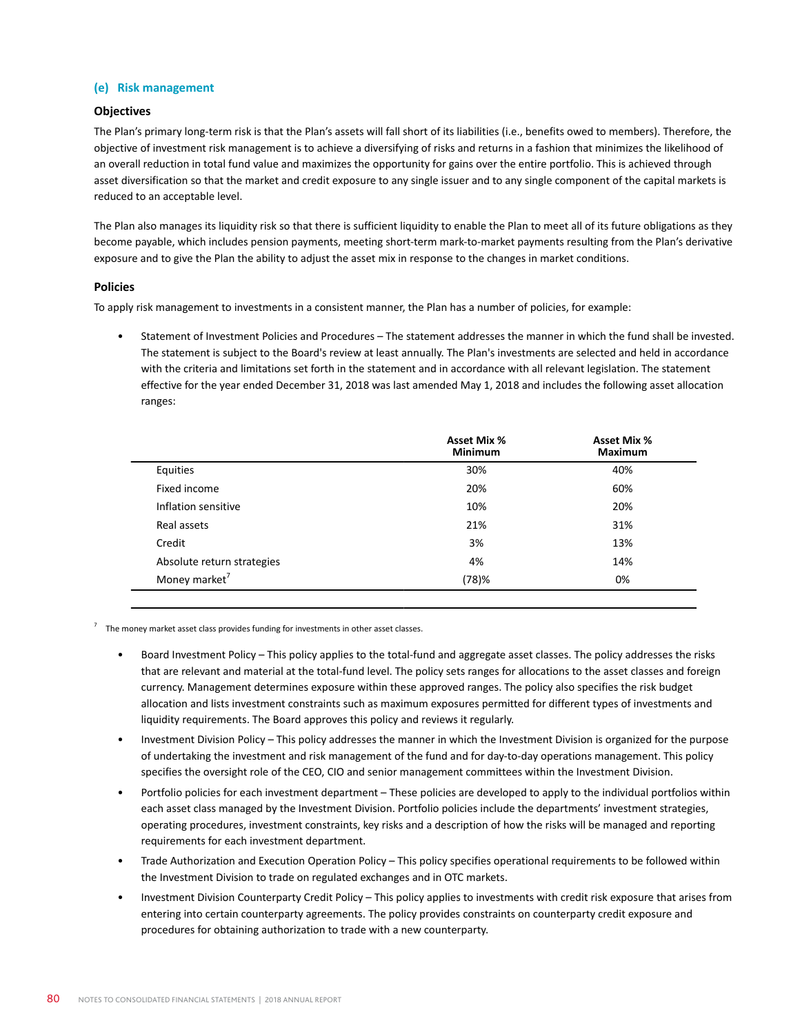#### **(e) Risk management**

#### **Objectives**

The Plan's primary long-term risk is that the Plan's assets will fall short of its liabilities (i.e., benefits owed to members). Therefore, the objective of investment risk management is to achieve a diversifying of risks and returns in a fashion that minimizes the likelihood of an overall reduction in total fund value and maximizes the opportunity for gains over the entire portfolio. This is achieved through asset diversification so that the market and credit exposure to any single issuer and to any single component of the capital markets is reduced to an acceptable level.

The Plan also manages its liquidity risk so that there is sufficient liquidity to enable the Plan to meet all of its future obligations as they become payable, which includes pension payments, meeting short-term mark-to-market payments resulting from the Plan's derivative exposure and to give the Plan the ability to adjust the asset mix in response to the changes in market conditions.

#### **Policies**

To apply risk management to investments in a consistent manner, the Plan has a number of policies, for example:

• Statement of Investment Policies and Procedures – The statement addresses the manner in which the fund shall be invested. The statement is subject to the Board's review at least annually. The Plan's investments are selected and held in accordance with the criteria and limitations set forth in the statement and in accordance with all relevant legislation. The statement effective for the year ended December 31, 2018 was last amended May 1, 2018 and includes the following asset allocation ranges:

|                            | <b>Asset Mix %</b><br><b>Minimum</b> | <b>Asset Mix %</b><br><b>Maximum</b> |
|----------------------------|--------------------------------------|--------------------------------------|
| Equities                   | 30%                                  | 40%                                  |
| Fixed income               | 20%                                  | 60%                                  |
| Inflation sensitive        | 10%                                  | 20%                                  |
| Real assets                | 21%                                  | 31%                                  |
| Credit                     | 3%                                   | 13%                                  |
| Absolute return strategies | 4%                                   | 14%                                  |
| Money market <sup>7</sup>  | (78)%                                | 0%                                   |

 $<sup>7</sup>$  The money market asset class provides funding for investments in other asset classes.</sup>

- Board Investment Policy This policy applies to the total-fund and aggregate asset classes. The policy addresses the risks that are relevant and material at the total-fund level. The policy sets ranges for allocations to the asset classes and foreign currency. Management determines exposure within these approved ranges. The policy also specifies the risk budget allocation and lists investment constraints such as maximum exposures permitted for different types of investments and liquidity requirements. The Board approves this policy and reviews it regularly.
- Investment Division Policy This policy addresses the manner in which the Investment Division is organized for the purpose of undertaking the investment and risk management of the fund and for day-to-day operations management. This policy specifies the oversight role of the CEO, CIO and senior management committees within the Investment Division.
- Portfolio policies for each investment department These policies are developed to apply to the individual portfolios within each asset class managed by the Investment Division. Portfolio policies include the departments' investment strategies, operating procedures, investment constraints, key risks and a description of how the risks will be managed and reporting requirements for each investment department.
- Trade Authorization and Execution Operation Policy This policy specifies operational requirements to be followed within the Investment Division to trade on regulated exchanges and in OTC markets.
- Investment Division Counterparty Credit Policy This policy applies to investments with credit risk exposure that arises from entering into certain counterparty agreements. The policy provides constraints on counterparty credit exposure and procedures for obtaining authorization to trade with a new counterparty.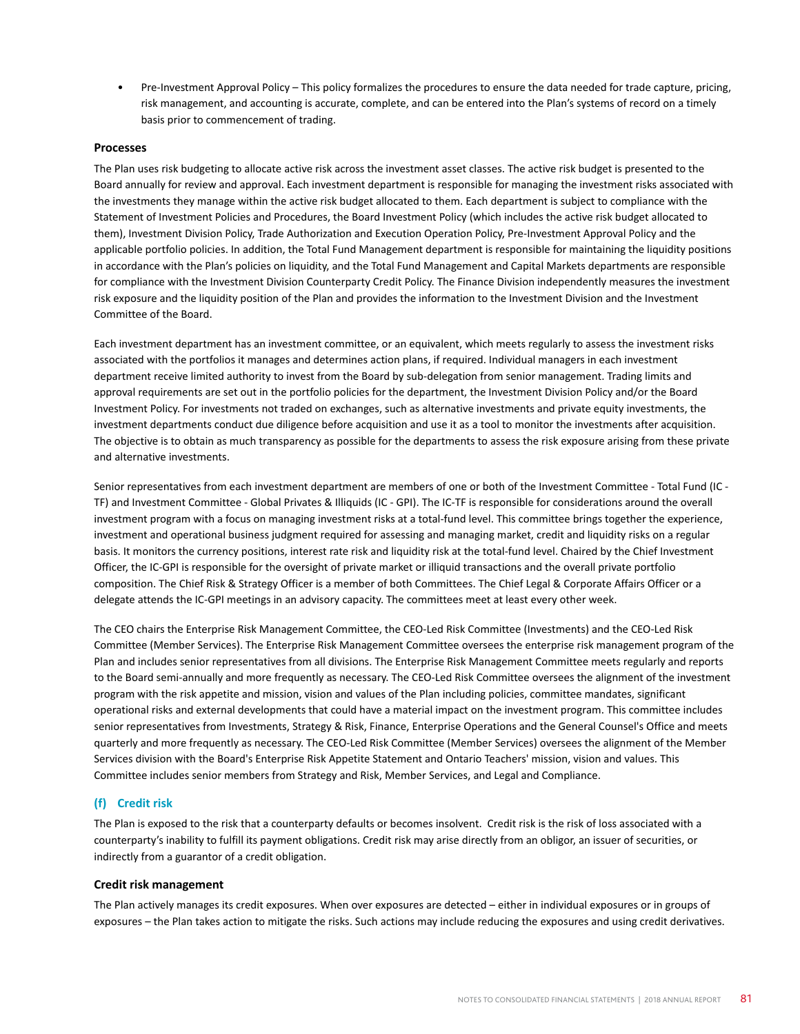• Pre-Investment Approval Policy – This policy formalizes the procedures to ensure the data needed for trade capture, pricing, risk management, and accounting is accurate, complete, and can be entered into the Plan's systems of record on a timely basis prior to commencement of trading.

#### **Processes**

The Plan uses risk budgeting to allocate active risk across the investment asset classes. The active risk budget is presented to the Board annually for review and approval. Each investment department is responsible for managing the investment risks associated with the investments they manage within the active risk budget allocated to them. Each department is subject to compliance with the Statement of Investment Policies and Procedures, the Board Investment Policy (which includes the active risk budget allocated to them), Investment Division Policy, Trade Authorization and Execution Operation Policy, Pre-Investment Approval Policy and the applicable portfolio policies. In addition, the Total Fund Management department is responsible for maintaining the liquidity positions in accordance with the Plan's policies on liquidity, and the Total Fund Management and Capital Markets departments are responsible for compliance with the Investment Division Counterparty Credit Policy. The Finance Division independently measures the investment risk exposure and the liquidity position of the Plan and provides the information to the Investment Division and the Investment Committee of the Board.

Each investment department has an investment committee, or an equivalent, which meets regularly to assess the investment risks associated with the portfolios it manages and determines action plans, if required. Individual managers in each investment department receive limited authority to invest from the Board by sub-delegation from senior management. Trading limits and approval requirements are set out in the portfolio policies for the department, the Investment Division Policy and/or the Board Investment Policy. For investments not traded on exchanges, such as alternative investments and private equity investments, the investment departments conduct due diligence before acquisition and use it as a tool to monitor the investments after acquisition. The objective is to obtain as much transparency as possible for the departments to assess the risk exposure arising from these private and alternative investments.

Senior representatives from each investment department are members of one or both of the Investment Committee - Total Fund (IC - TF) and Investment Committee - Global Privates & Illiquids (IC - GPI). The IC-TF is responsible for considerations around the overall investment program with a focus on managing investment risks at a total-fund level. This committee brings together the experience, investment and operational business judgment required for assessing and managing market, credit and liquidity risks on a regular basis. It monitors the currency positions, interest rate risk and liquidity risk at the total-fund level. Chaired by the Chief Investment Officer, the IC-GPI is responsible for the oversight of private market or illiquid transactions and the overall private portfolio composition. The Chief Risk & Strategy Officer is a member of both Committees. The Chief Legal & Corporate Affairs Officer or a delegate attends the IC-GPI meetings in an advisory capacity. The committees meet at least every other week.

The CEO chairs the Enterprise Risk Management Committee, the CEO-Led Risk Committee (Investments) and the CEO-Led Risk Committee (Member Services). The Enterprise Risk Management Committee oversees the enterprise risk management program of the Plan and includes senior representatives from all divisions. The Enterprise Risk Management Committee meets regularly and reports to the Board semi-annually and more frequently as necessary. The CEO-Led Risk Committee oversees the alignment of the investment program with the risk appetite and mission, vision and values of the Plan including policies, committee mandates, significant operational risks and external developments that could have a material impact on the investment program. This committee includes senior representatives from Investments, Strategy & Risk, Finance, Enterprise Operations and the General Counsel's Office and meets quarterly and more frequently as necessary. The CEO-Led Risk Committee (Member Services) oversees the alignment of the Member Services division with the Board's Enterprise Risk Appetite Statement and Ontario Teachers' mission, vision and values. This Committee includes senior members from Strategy and Risk, Member Services, and Legal and Compliance.

## **(f) Credit risk**

The Plan is exposed to the risk that a counterparty defaults or becomes insolvent. Credit risk is the risk of loss associated with a counterparty's inability to fulfill its payment obligations. Credit risk may arise directly from an obligor, an issuer of securities, or indirectly from a guarantor of a credit obligation.

#### **Credit risk management**

The Plan actively manages its credit exposures. When over exposures are detected – either in individual exposures or in groups of exposures – the Plan takes action to mitigate the risks. Such actions may include reducing the exposures and using credit derivatives.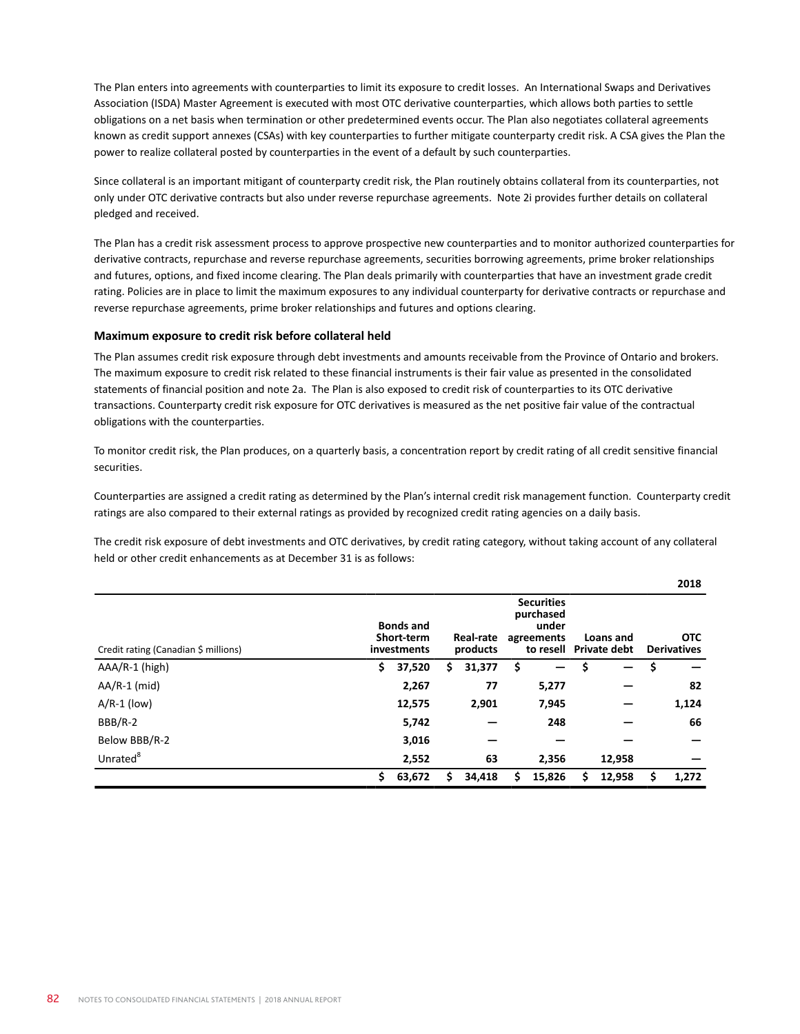The Plan enters into agreements with counterparties to limit its exposure to credit losses. An International Swaps and Derivatives Association (ISDA) Master Agreement is executed with most OTC derivative counterparties, which allows both parties to settle obligations on a net basis when termination or other predetermined events occur. The Plan also negotiates collateral agreements known as credit support annexes (CSAs) with key counterparties to further mitigate counterparty credit risk. A CSA gives the Plan the power to realize collateral posted by counterparties in the event of a default by such counterparties.

Since collateral is an important mitigant of counterparty credit risk, the Plan routinely obtains collateral from its counterparties, not only under OTC derivative contracts but also under reverse repurchase agreements. Note 2i provides further details on collateral pledged and received.

The Plan has a credit risk assessment process to approve prospective new counterparties and to monitor authorized counterparties for derivative contracts, repurchase and reverse repurchase agreements, securities borrowing agreements, prime broker relationships and futures, options, and fixed income clearing. The Plan deals primarily with counterparties that have an investment grade credit rating. Policies are in place to limit the maximum exposures to any individual counterparty for derivative contracts or repurchase and reverse repurchase agreements, prime broker relationships and futures and options clearing.

#### **Maximum exposure to credit risk before collateral held**

The Plan assumes credit risk exposure through debt investments and amounts receivable from the Province of Ontario and brokers. The maximum exposure to credit risk related to these financial instruments is their fair value as presented in the consolidated statements of financial position and note 2a. The Plan is also exposed to credit risk of counterparties to its OTC derivative transactions. Counterparty credit risk exposure for OTC derivatives is measured as the net positive fair value of the contractual obligations with the counterparties.

To monitor credit risk, the Plan produces, on a quarterly basis, a concentration report by credit rating of all credit sensitive financial securities.

Counterparties are assigned a credit rating as determined by the Plan's internal credit risk management function. Counterparty credit ratings are also compared to their external ratings as provided by recognized credit rating agencies on a daily basis.

The credit risk exposure of debt investments and OTC derivatives, by credit rating category, without taking account of any collateral held or other credit enhancements as at December 31 is as follows:

|                                      |                                               |        |                       |        |                                                                    |        |                                  |        | 2018                             |
|--------------------------------------|-----------------------------------------------|--------|-----------------------|--------|--------------------------------------------------------------------|--------|----------------------------------|--------|----------------------------------|
| Credit rating (Canadian \$ millions) | <b>Bonds and</b><br>Short-term<br>investments |        | Real-rate<br>products |        | <b>Securities</b><br>purchased<br>under<br>agreements<br>to resell |        | Loans and<br><b>Private debt</b> |        | <b>OTC</b><br><b>Derivatives</b> |
| AAA/R-1 (high)                       | \$.                                           | 37,520 | S                     | 31,377 | \$                                                                 |        | \$                               |        | \$                               |
| $AA/R-1$ (mid)                       |                                               | 2,267  |                       | 77     |                                                                    | 5,277  |                                  |        | 82                               |
| $A/R-1$ (low)                        |                                               | 12,575 |                       | 2,901  |                                                                    | 7,945  |                                  |        | 1,124                            |
| BBB/R-2                              |                                               | 5,742  |                       |        |                                                                    | 248    |                                  |        | 66                               |
| Below BBB/R-2                        |                                               | 3,016  |                       |        |                                                                    |        |                                  |        |                                  |
| Unrated <sup>8</sup>                 |                                               | 2,552  |                       | 63     |                                                                    | 2,356  |                                  | 12,958 |                                  |
|                                      | S                                             | 63,672 |                       | 34,418 |                                                                    | 15,826 |                                  | 12,958 | 1,272                            |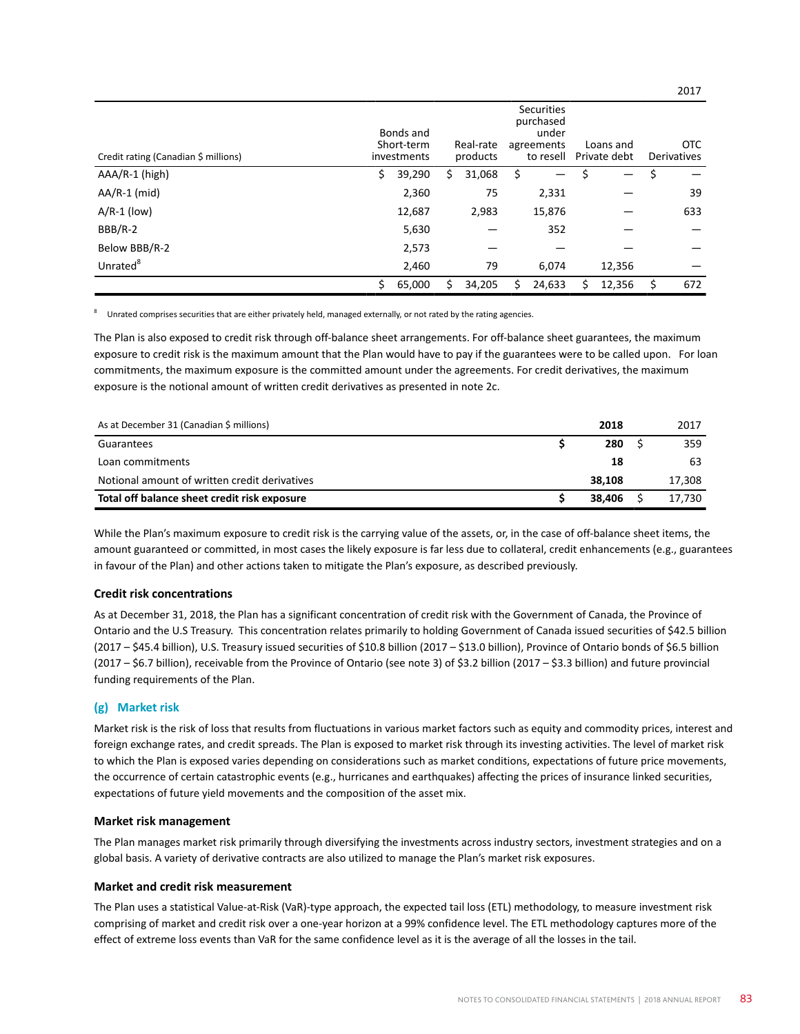| Credit rating (Canadian \$ millions) | Bonds and<br>Short-term<br>investments | Real-rate<br>products | Securities<br>purchased<br>under<br>agreements<br>to resell | Loans and<br>Private debt | OTC<br>Derivatives |
|--------------------------------------|----------------------------------------|-----------------------|-------------------------------------------------------------|---------------------------|--------------------|
| $AA/R-1$ (high)                      | \$<br>39,290                           | 31,068<br>Ś           | \$                                                          | \$                        |                    |
| $AA/R-1$ (mid)                       | 2,360                                  | 75                    | 2,331                                                       |                           | 39                 |
| $A/R-1$ (low)                        | 12,687                                 | 2,983                 | 15,876                                                      |                           | 633                |
| BBB/R-2                              | 5,630                                  |                       | 352                                                         |                           |                    |
| Below BBB/R-2                        | 2,573                                  |                       |                                                             |                           |                    |
| Unrated <sup>8</sup>                 | 2,460                                  | 79                    | 6,074                                                       | 12,356                    |                    |
|                                      | 65,000<br>S.                           | 34,205                | 24,633                                                      | 12,356                    | 672<br>Ŝ           |

 $8$  Unrated comprises securities that are either privately held, managed externally, or not rated by the rating agencies.

The Plan is also exposed to credit risk through off-balance sheet arrangements. For off-balance sheet guarantees, the maximum exposure to credit risk is the maximum amount that the Plan would have to pay if the guarantees were to be called upon. For loan commitments, the maximum exposure is the committed amount under the agreements. For credit derivatives, the maximum exposure is the notional amount of written credit derivatives as presented in note 2c.

| As at December 31 (Canadian \$ millions)      | 2018   | 2017   |
|-----------------------------------------------|--------|--------|
| Guarantees                                    | 280    | 359    |
| Loan commitments                              | 18     | 63     |
| Notional amount of written credit derivatives | 38.108 | 17,308 |
| Total off balance sheet credit risk exposure  | 38.406 | 17.730 |

While the Plan's maximum exposure to credit risk is the carrying value of the assets, or, in the case of off-balance sheet items, the amount guaranteed or committed, in most cases the likely exposure is far less due to collateral, credit enhancements (e.g., guarantees in favour of the Plan) and other actions taken to mitigate the Plan's exposure, as described previously.

#### **Credit risk concentrations**

As at December 31, 2018, the Plan has a significant concentration of credit risk with the Government of Canada, the Province of Ontario and the U.S Treasury. This concentration relates primarily to holding Government of Canada issued securities of \$42.5 billion (2017 – \$45.4 billion), U.S. Treasury issued securities of \$10.8 billion (2017 – \$13.0 billion), Province of Ontario bonds of \$6.5 billion (2017 – \$6.7 billion), receivable from the Province of Ontario (see note 3) of \$3.2 billion (2017 – \$3.3 billion) and future provincial funding requirements of the Plan.

## **(g) Market risk**

Market risk is the risk of loss that results from fluctuations in various market factors such as equity and commodity prices, interest and foreign exchange rates, and credit spreads. The Plan is exposed to market risk through its investing activities. The level of market risk to which the Plan is exposed varies depending on considerations such as market conditions, expectations of future price movements, the occurrence of certain catastrophic events (e.g., hurricanes and earthquakes) affecting the prices of insurance linked securities, expectations of future yield movements and the composition of the asset mix.

#### **Market risk management**

The Plan manages market risk primarily through diversifying the investments across industry sectors, investment strategies and on a global basis. A variety of derivative contracts are also utilized to manage the Plan's market risk exposures.

#### **Market and credit risk measurement**

The Plan uses a statistical Value-at-Risk (VaR)-type approach, the expected tail loss (ETL) methodology, to measure investment risk comprising of market and credit risk over a one-year horizon at a 99% confidence level. The ETL methodology captures more of the effect of extreme loss events than VaR for the same confidence level as it is the average of all the losses in the tail.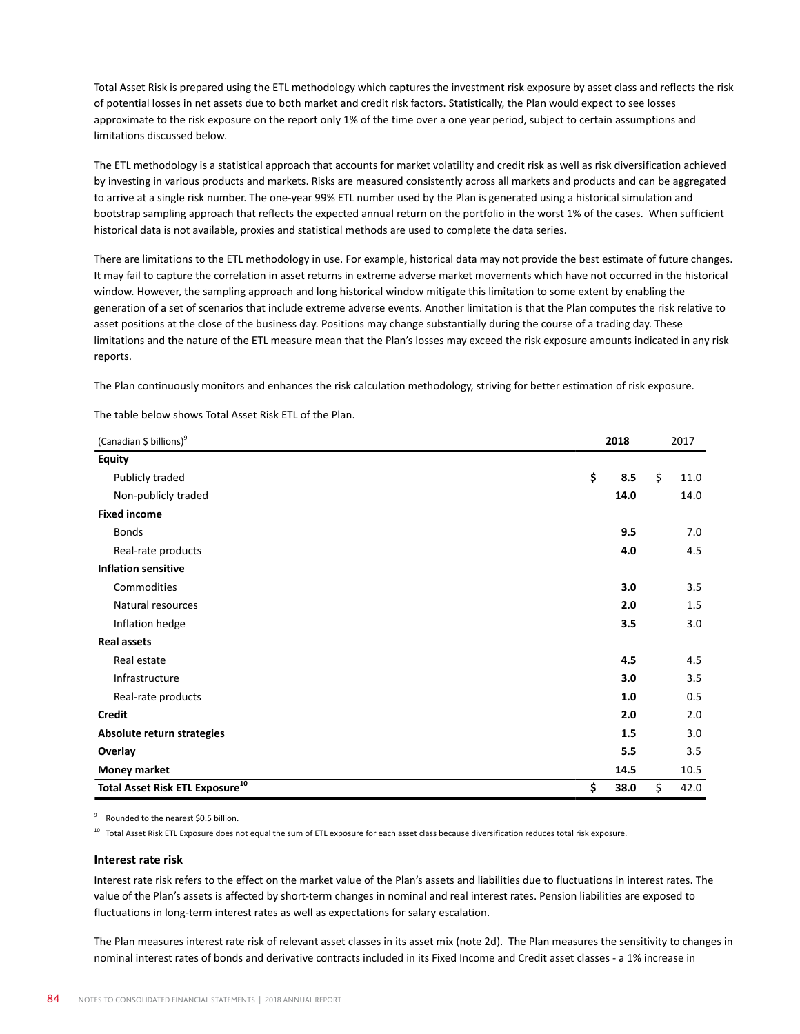Total Asset Risk is prepared using the ETL methodology which captures the investment risk exposure by asset class and reflects the risk of potential losses in net assets due to both market and credit risk factors. Statistically, the Plan would expect to see losses approximate to the risk exposure on the report only 1% of the time over a one year period, subject to certain assumptions and limitations discussed below.

The ETL methodology is a statistical approach that accounts for market volatility and credit risk as well as risk diversification achieved by investing in various products and markets. Risks are measured consistently across all markets and products and can be aggregated to arrive at a single risk number. The one-year 99% ETL number used by the Plan is generated using a historical simulation and bootstrap sampling approach that reflects the expected annual return on the portfolio in the worst 1% of the cases. When sufficient historical data is not available, proxies and statistical methods are used to complete the data series.

There are limitations to the ETL methodology in use. For example, historical data may not provide the best estimate of future changes. It may fail to capture the correlation in asset returns in extreme adverse market movements which have not occurred in the historical window. However, the sampling approach and long historical window mitigate this limitation to some extent by enabling the generation of a set of scenarios that include extreme adverse events. Another limitation is that the Plan computes the risk relative to asset positions at the close of the business day. Positions may change substantially during the course of a trading day. These limitations and the nature of the ETL measure mean that the Plan's losses may exceed the risk exposure amounts indicated in any risk reports.

The Plan continuously monitors and enhances the risk calculation methodology, striving for better estimation of risk exposure.

| (Canadian \$ billions) <sup>9</sup>         | 2018       | 2017       |
|---------------------------------------------|------------|------------|
| <b>Equity</b>                               |            |            |
| Publicly traded                             | \$<br>8.5  | \$<br>11.0 |
| Non-publicly traded                         | 14.0       | 14.0       |
| <b>Fixed income</b>                         |            |            |
| <b>Bonds</b>                                | 9.5        | 7.0        |
| Real-rate products                          | 4.0        | 4.5        |
| <b>Inflation sensitive</b>                  |            |            |
| Commodities                                 | 3.0        | 3.5        |
| Natural resources                           | 2.0        | 1.5        |
| Inflation hedge                             | 3.5        | 3.0        |
| <b>Real assets</b>                          |            |            |
| Real estate                                 | 4.5        | 4.5        |
| Infrastructure                              | 3.0        | 3.5        |
| Real-rate products                          | 1.0        | 0.5        |
| <b>Credit</b>                               | 2.0        | 2.0        |
| Absolute return strategies                  | 1.5        | 3.0        |
| Overlay                                     | 5.5        | 3.5        |
| <b>Money market</b>                         | 14.5       | 10.5       |
| Total Asset Risk ETL Exposure <sup>10</sup> | \$<br>38.0 | \$<br>42.0 |

The table below shows Total Asset Risk ETL of the Plan.

<sup>9</sup> Rounded to the nearest \$0.5 billion.

<sup>10</sup> Total Asset Risk ETL Exposure does not equal the sum of ETL exposure for each asset class because diversification reduces total risk exposure.

## **Interest rate risk**

Interest rate risk refers to the effect on the market value of the Plan's assets and liabilities due to fluctuations in interest rates. The value of the Plan's assets is affected by short-term changes in nominal and real interest rates. Pension liabilities are exposed to fluctuations in long-term interest rates as well as expectations for salary escalation.

The Plan measures interest rate risk of relevant asset classes in its asset mix (note 2d). The Plan measures the sensitivity to changes in nominal interest rates of bonds and derivative contracts included in its Fixed Income and Credit asset classes - a 1% increase in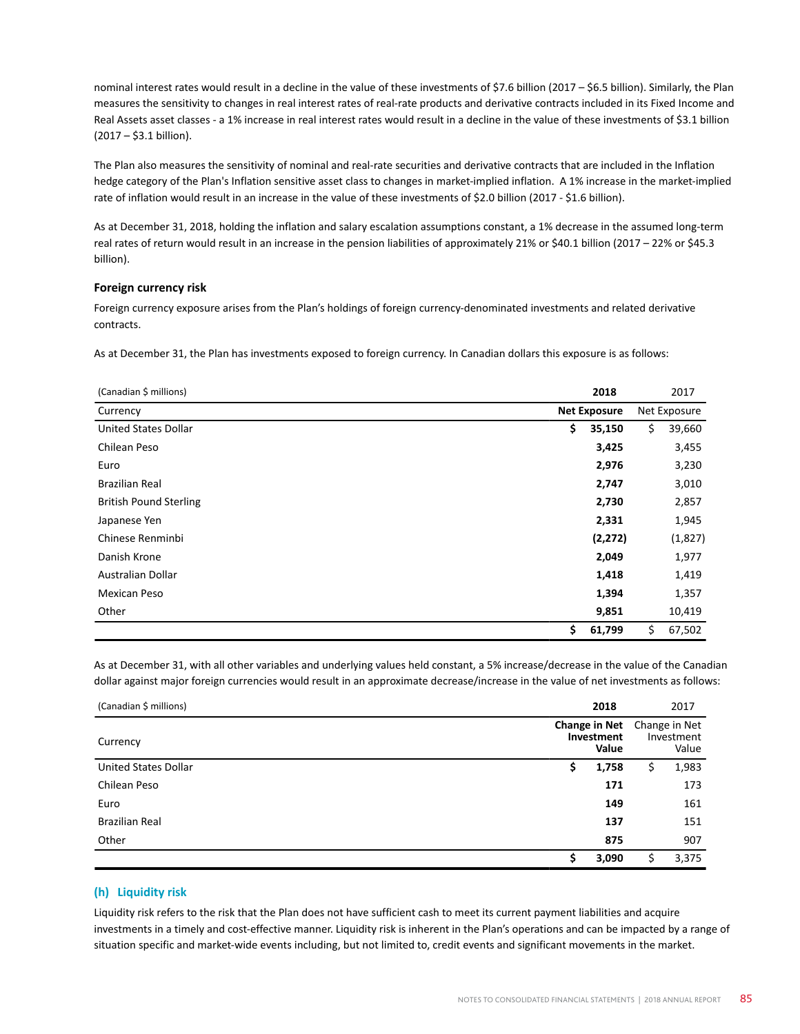nominal interest rates would result in a decline in the value of these investments of \$7.6 billion (2017 – \$6.5 billion). Similarly, the Plan measures the sensitivity to changes in real interest rates of real-rate products and derivative contracts included in its Fixed Income and Real Assets asset classes - a 1% increase in real interest rates would result in a decline in the value of these investments of \$3.1 billion (2017 – \$3.1 billion).

The Plan also measures the sensitivity of nominal and real-rate securities and derivative contracts that are included in the Inflation hedge category of the Plan's Inflation sensitive asset class to changes in market-implied inflation. A 1% increase in the market-implied rate of inflation would result in an increase in the value of these investments of \$2.0 billion (2017 - \$1.6 billion).

As at December 31, 2018, holding the inflation and salary escalation assumptions constant, a 1% decrease in the assumed long-term real rates of return would result in an increase in the pension liabilities of approximately 21% or \$40.1 billion (2017 – 22% or \$45.3 billion).

#### **Foreign currency risk**

Foreign currency exposure arises from the Plan's holdings of foreign currency-denominated investments and related derivative contracts.

As at December 31, the Plan has investments exposed to foreign currency. In Canadian dollars this exposure is as follows:

| (Canadian \$ millions)        | 2018                | 2017         |
|-------------------------------|---------------------|--------------|
| Currency                      | <b>Net Exposure</b> | Net Exposure |
| <b>United States Dollar</b>   | \$<br>35,150        | \$<br>39,660 |
| Chilean Peso                  | 3,425               | 3,455        |
| Euro                          | 2,976               | 3,230        |
| <b>Brazilian Real</b>         | 2,747               | 3,010        |
| <b>British Pound Sterling</b> | 2,730               | 2,857        |
| Japanese Yen                  | 2,331               | 1,945        |
| Chinese Renminbi              | (2, 272)            | (1,827)      |
| Danish Krone                  | 2,049               | 1,977        |
| Australian Dollar             | 1,418               | 1,419        |
| Mexican Peso                  | 1,394               | 1,357        |
| Other                         | 9,851               | 10,419       |
|                               | \$<br>61,799        | \$<br>67,502 |

As at December 31, with all other variables and underlying values held constant, a 5% increase/decrease in the value of the Canadian dollar against major foreign currencies would result in an approximate decrease/increase in the value of net investments as follows:

| (Canadian \$ millions)      | 2018                                        |    | 2017                                 |
|-----------------------------|---------------------------------------------|----|--------------------------------------|
| Currency                    | <b>Change in Net</b><br>Investment<br>Value |    | Change in Net<br>Investment<br>Value |
| <b>United States Dollar</b> | 1,758<br>Ş                                  | \$ | 1,983                                |
| Chilean Peso                | 171                                         |    | 173                                  |
| Euro                        | 149                                         |    | 161                                  |
| <b>Brazilian Real</b>       | 137                                         |    | 151                                  |
| Other                       | 875                                         |    | 907                                  |
|                             | 3,090                                       | S. | 3,375                                |

## **(h) Liquidity risk**

Liquidity risk refers to the risk that the Plan does not have sufficient cash to meet its current payment liabilities and acquire investments in a timely and cost-effective manner. Liquidity risk is inherent in the Plan's operations and can be impacted by a range of situation specific and market-wide events including, but not limited to, credit events and significant movements in the market.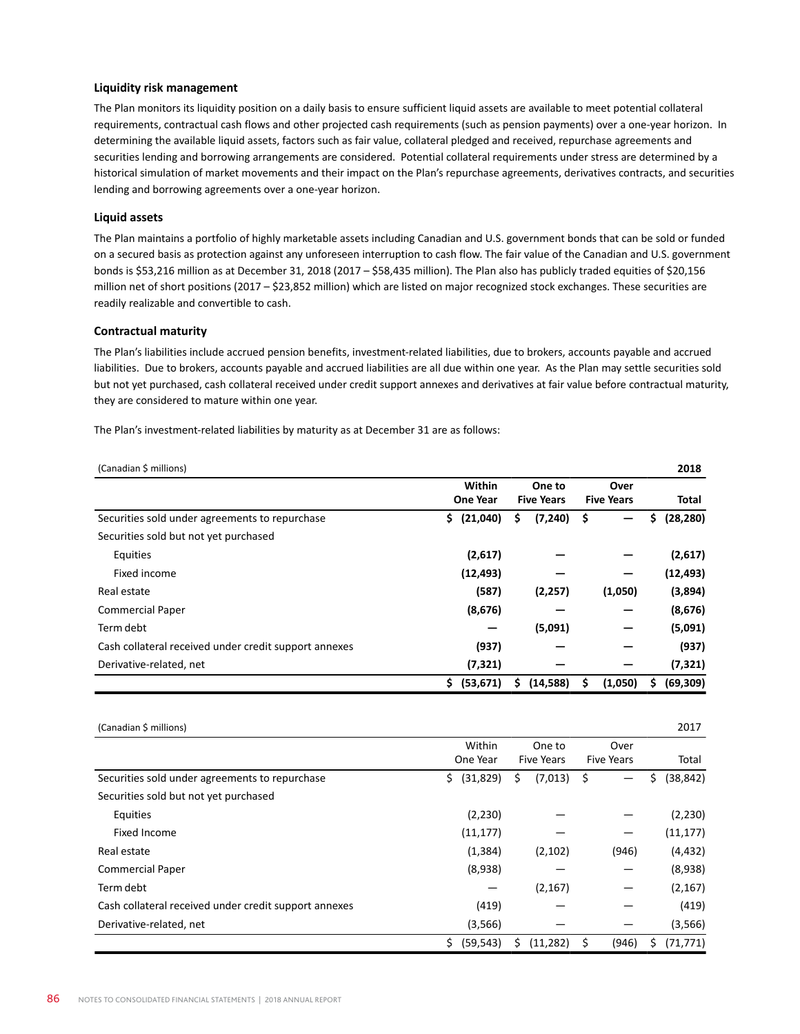#### **Liquidity risk management**

The Plan monitors its liquidity position on a daily basis to ensure sufficient liquid assets are available to meet potential collateral requirements, contractual cash flows and other projected cash requirements (such as pension payments) over a one-year horizon. In determining the available liquid assets, factors such as fair value, collateral pledged and received, repurchase agreements and securities lending and borrowing arrangements are considered. Potential collateral requirements under stress are determined by a historical simulation of market movements and their impact on the Plan's repurchase agreements, derivatives contracts, and securities lending and borrowing agreements over a one-year horizon.

#### **Liquid assets**

The Plan maintains a portfolio of highly marketable assets including Canadian and U.S. government bonds that can be sold or funded on a secured basis as protection against any unforeseen interruption to cash flow. The fair value of the Canadian and U.S. government bonds is \$53,216 million as at December 31, 2018 (2017 – \$58,435 million). The Plan also has publicly traded equities of \$20,156 million net of short positions (2017 – \$23,852 million) which are listed on major recognized stock exchanges. These securities are readily realizable and convertible to cash.

#### **Contractual maturity**

The Plan's liabilities include accrued pension benefits, investment-related liabilities, due to brokers, accounts payable and accrued liabilities. Due to brokers, accounts payable and accrued liabilities are all due within one year. As the Plan may settle securities sold but not yet purchased, cash collateral received under credit support annexes and derivatives at fair value before contractual maturity, they are considered to mature within one year.

The Plan's investment-related liabilities by maturity as at December 31 are as follows:

| (Canadian \$ millions)                                |                 |                   |                   | 2018      |
|-------------------------------------------------------|-----------------|-------------------|-------------------|-----------|
|                                                       | Within          | One to            | Over              |           |
|                                                       | <b>One Year</b> | <b>Five Years</b> | <b>Five Years</b> | Total     |
| Securities sold under agreements to repurchase        | (21,040)<br>\$. | (7, 240)<br>\$    | \$                | (28, 280) |
| Securities sold but not yet purchased                 |                 |                   |                   |           |
| Equities                                              | (2,617)         |                   |                   | (2,617)   |
| Fixed income                                          | (12, 493)       |                   |                   | (12, 493) |
| Real estate                                           | (587)           | (2, 257)          | (1,050)           | (3,894)   |
| <b>Commercial Paper</b>                               | (8,676)         |                   |                   | (8,676)   |
| Term debt                                             | _               | (5,091)           |                   | (5,091)   |
| Cash collateral received under credit support annexes | (937)           |                   |                   | (937)     |
| Derivative-related, net                               | (7, 321)        |                   |                   | (7, 321)  |
|                                                       | (53, 671)<br>\$ | (14, 588)<br>s    | (1,050)<br>S      | (69, 309) |

| (Canadian \$ millions)                                |                 |                   |                   | 2017            |
|-------------------------------------------------------|-----------------|-------------------|-------------------|-----------------|
|                                                       | Within          | One to            | Over              |                 |
|                                                       | One Year        | <b>Five Years</b> | <b>Five Years</b> | Total           |
| Securities sold under agreements to repurchase        | (31, 829)<br>S. | (7,013)<br>S      | - Ş               | (38, 842)<br>\$ |
| Securities sold but not yet purchased                 |                 |                   |                   |                 |
| Equities                                              | (2,230)         |                   |                   | (2, 230)        |
| Fixed Income                                          | (11, 177)       |                   |                   | (11, 177)       |
| Real estate                                           | (1, 384)        | (2, 102)          | (946)             | (4, 432)        |
| <b>Commercial Paper</b>                               | (8,938)         |                   |                   | (8,938)         |
| Term debt                                             |                 | (2, 167)          |                   | (2, 167)        |
| Cash collateral received under credit support annexes | (419)           |                   |                   | (419)           |
| Derivative-related, net                               | (3,566)         |                   |                   | (3,566)         |
|                                                       | \$<br>(59, 543) | (11,282)<br>S     | \$<br>(946)       | (71, 771)<br>\$ |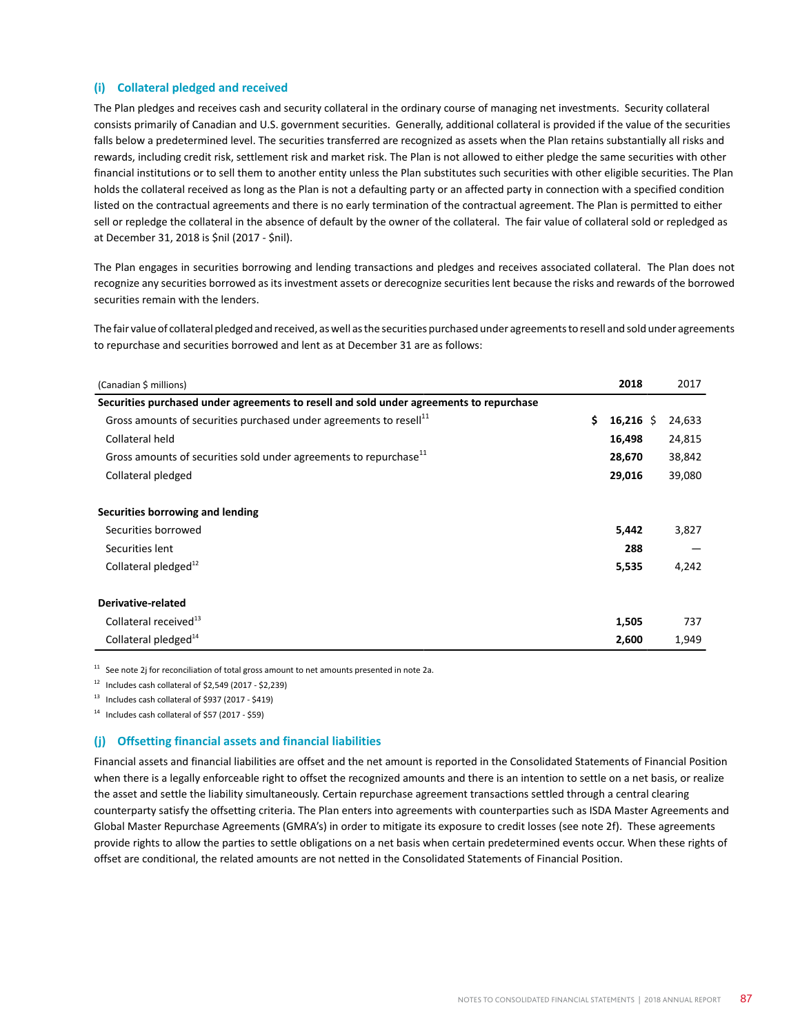#### **(i) Collateral pledged and received**

The Plan pledges and receives cash and security collateral in the ordinary course of managing net investments. Security collateral consists primarily of Canadian and U.S. government securities. Generally, additional collateral is provided if the value of the securities falls below a predetermined level. The securities transferred are recognized as assets when the Plan retains substantially all risks and rewards, including credit risk, settlement risk and market risk. The Plan is not allowed to either pledge the same securities with other financial institutions or to sell them to another entity unless the Plan substitutes such securities with other eligible securities. The Plan holds the collateral received as long as the Plan is not a defaulting party or an affected party in connection with a specified condition listed on the contractual agreements and there is no early termination of the contractual agreement. The Plan is permitted to either sell or repledge the collateral in the absence of default by the owner of the collateral. The fair value of collateral sold or repledged as at December 31, 2018 is \$nil (2017 - \$nil).

The Plan engages in securities borrowing and lending transactions and pledges and receives associated collateral. The Plan does not recognize any securities borrowed as its investment assets or derecognize securities lent because the risks and rewards of the borrowed securities remain with the lenders.

The fair value of collateral pledged and received, as well as the securities purchased under agreements to resell and sold under agreements to repurchase and securities borrowed and lent as at December 31 are as follows:

| (Canadian \$ millions)                                                                  |     | 2018        | 2017   |
|-----------------------------------------------------------------------------------------|-----|-------------|--------|
| Securities purchased under agreements to resell and sold under agreements to repurchase |     |             |        |
| Gross amounts of securities purchased under agreements to resell <sup>11</sup>          | \$. | $16,216$ \$ | 24,633 |
| Collateral held                                                                         |     | 16,498      | 24,815 |
| Gross amounts of securities sold under agreements to repurchase <sup>11</sup>           |     | 28,670      | 38,842 |
| Collateral pledged                                                                      |     | 29,016      | 39,080 |
|                                                                                         |     |             |        |
| Securities borrowing and lending                                                        |     |             |        |
| Securities borrowed                                                                     |     | 5,442       | 3,827  |
| Securities lent                                                                         |     | 288         |        |
| Collateral pledged $^{12}$                                                              |     | 5,535       | 4,242  |
| <b>Derivative-related</b>                                                               |     |             |        |
| Collateral received <sup>13</sup>                                                       |     | 1,505       | 737    |
| Collateral pledged $^{14}$                                                              |     | 2,600       | 1,949  |

 $11$  See note 2j for reconciliation of total gross amount to net amounts presented in note 2a.

 $12$  Includes cash collateral of \$2,549 (2017 - \$2,239)

 $13$  Includes cash collateral of \$937 (2017 - \$419)

 $14$  Includes cash collateral of \$57 (2017 - \$59)

#### **(j) Offsetting financial assets and financial liabilities**

Financial assets and financial liabilities are offset and the net amount is reported in the Consolidated Statements of Financial Position when there is a legally enforceable right to offset the recognized amounts and there is an intention to settle on a net basis, or realize the asset and settle the liability simultaneously. Certain repurchase agreement transactions settled through a central clearing counterparty satisfy the offsetting criteria. The Plan enters into agreements with counterparties such as ISDA Master Agreements and Global Master Repurchase Agreements (GMRA's) in order to mitigate its exposure to credit losses (see note 2f). These agreements provide rights to allow the parties to settle obligations on a net basis when certain predetermined events occur. When these rights of offset are conditional, the related amounts are not netted in the Consolidated Statements of Financial Position.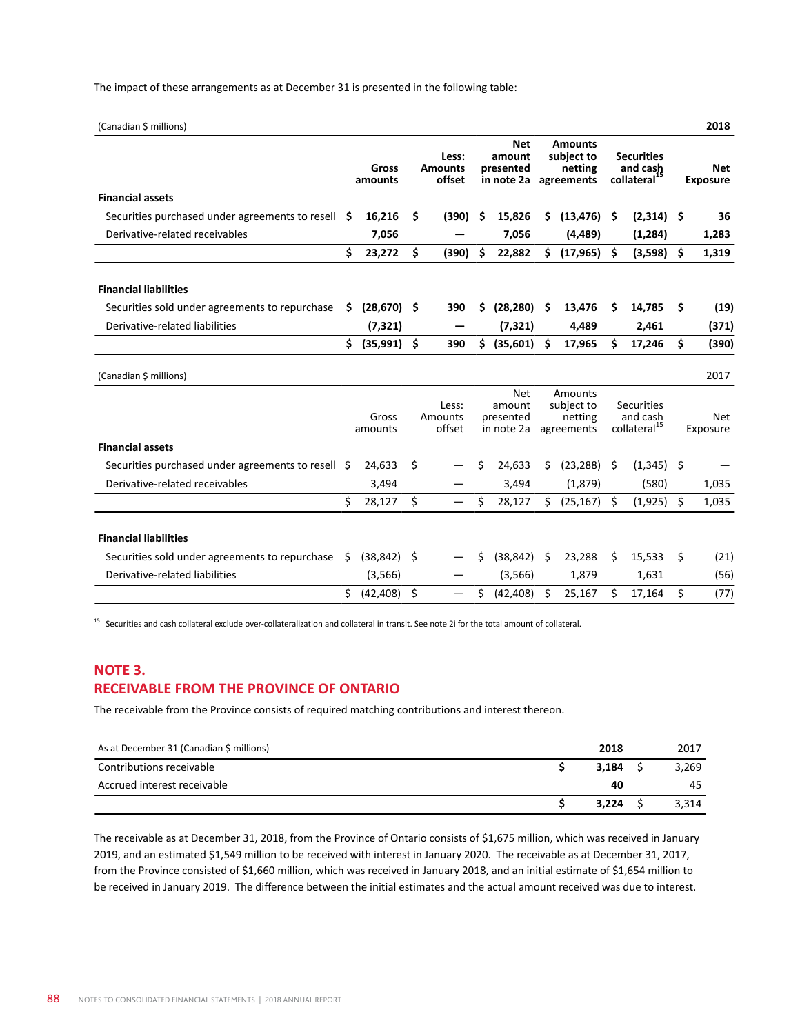The impact of these arrangements as at December 31 is presented in the following table:

| (Canadian \$ millions)                             |     |                  |     |                                   |    |                                                            |     |                                                |     |                                                           |     | 2018                   |
|----------------------------------------------------|-----|------------------|-----|-----------------------------------|----|------------------------------------------------------------|-----|------------------------------------------------|-----|-----------------------------------------------------------|-----|------------------------|
|                                                    |     | Gross<br>amounts |     | Less:<br><b>Amounts</b><br>offset |    | <b>Net</b><br>amount<br>presented<br>in note 2a agreements |     | <b>Amounts</b><br>subject to<br>netting        |     | <b>Securities</b><br>and cash<br>collateral <sup>15</sup> |     | Net<br><b>Exposure</b> |
| <b>Financial assets</b>                            |     |                  |     |                                   |    |                                                            |     |                                                |     |                                                           |     |                        |
| Securities purchased under agreements to resell \$ |     | 16,216           | Ś.  | (390)                             | S  | 15,826                                                     | Ŝ.  | $(13, 476)$ \$                                 |     | $(2,314)$ \$                                              |     | 36                     |
| Derivative-related receivables                     |     | 7,056            |     |                                   |    | 7,056                                                      |     | (4, 489)                                       |     | (1, 284)                                                  |     | 1,283                  |
|                                                    | Ś   | 23,272           | \$  | (390)                             | \$ | 22,882                                                     | \$  | $(17, 965)$ \$                                 |     | (3,598)                                                   | \$. | 1,319                  |
| <b>Financial liabilities</b>                       |     |                  |     |                                   |    |                                                            |     |                                                |     |                                                           |     |                        |
| Securities sold under agreements to repurchase     | S   | (28,670)         | Ŝ   | 390                               | S  | $(28, 280)$ \$                                             |     | 13,476                                         | Ŝ.  | 14,785                                                    | \$. | (19)                   |
| Derivative-related liabilities                     |     | (7, 321)         |     |                                   |    | (7, 321)                                                   |     | 4,489                                          |     | 2,461                                                     |     | (371)                  |
|                                                    | Ś.  | $(35,991)$ \$    |     | 390                               |    | \$ (35,601) \$                                             |     | 17,965                                         | Ś.  | 17,246                                                    | Ś.  | (390)                  |
| (Canadian \$ millions)                             |     |                  |     |                                   |    |                                                            |     |                                                |     |                                                           |     | 2017                   |
|                                                    |     | Gross<br>amounts |     | Less:<br>Amounts<br>offset        |    | <b>Net</b><br>amount<br>presented<br>in note 2a            |     | Amounts<br>subject to<br>netting<br>agreements |     | <b>Securities</b><br>and cash<br>collateral <sup>15</sup> |     | <b>Net</b><br>Exposure |
| <b>Financial assets</b>                            |     |                  |     |                                   |    |                                                            |     |                                                |     |                                                           |     |                        |
| Securities purchased under agreements to resell \$ |     | 24,633           | \$  |                                   | \$ | 24,633                                                     | \$  | $(23, 288)$ \$                                 |     | $(1,345)$ \$                                              |     |                        |
| Derivative-related receivables                     |     | 3,494            |     |                                   |    | 3,494                                                      |     | (1,879)                                        |     | (580)                                                     |     | 1,035                  |
|                                                    | \$  | 28,127           | \$  | $\overline{\phantom{0}}$          | \$ | 28,127                                                     | \$. | $(25, 167)$ \$                                 |     | (1,925)                                                   | Ŝ.  | 1,035                  |
| <b>Financial liabilities</b>                       |     |                  |     |                                   |    |                                                            |     |                                                |     |                                                           |     |                        |
| Securities sold under agreements to repurchase     | \$. | (38, 842)        | -\$ |                                   | \$ | $(38, 842)$ \$                                             |     | 23,288                                         | \$. | 15,533                                                    | \$  | (21)                   |
| Derivative-related liabilities                     |     | (3,566)          |     |                                   |    | (3,566)                                                    |     | 1,879                                          |     | 1,631                                                     |     | (56)                   |
|                                                    | \$  | (42, 408)        | \$  | $\overline{\phantom{0}}$          | \$ | (42, 408)                                                  | \$  | 25,167                                         | Ś.  | 17,164                                                    | \$  | (77)                   |

<sup>15</sup> Securities and cash collateral exclude over-collateralization and collateral in transit. See note 2i for the total amount of collateral.

# **NOTE 3. RECEIVABLE FROM THE PROVINCE OF ONTARIO**

The receivable from the Province consists of required matching contributions and interest thereon.

| As at December 31 (Canadian \$ millions) | 2018  | 2017  |
|------------------------------------------|-------|-------|
| Contributions receivable                 | 3.184 | 3,269 |
| Accrued interest receivable              | 40    | 45    |
|                                          | 3.224 | 3.314 |

The receivable as at December 31, 2018, from the Province of Ontario consists of \$1,675 million, which was received in January 2019, and an estimated \$1,549 million to be received with interest in January 2020. The receivable as at December 31, 2017, from the Province consisted of \$1,660 million, which was received in January 2018, and an initial estimate of \$1,654 million to be received in January 2019. The difference between the initial estimates and the actual amount received was due to interest.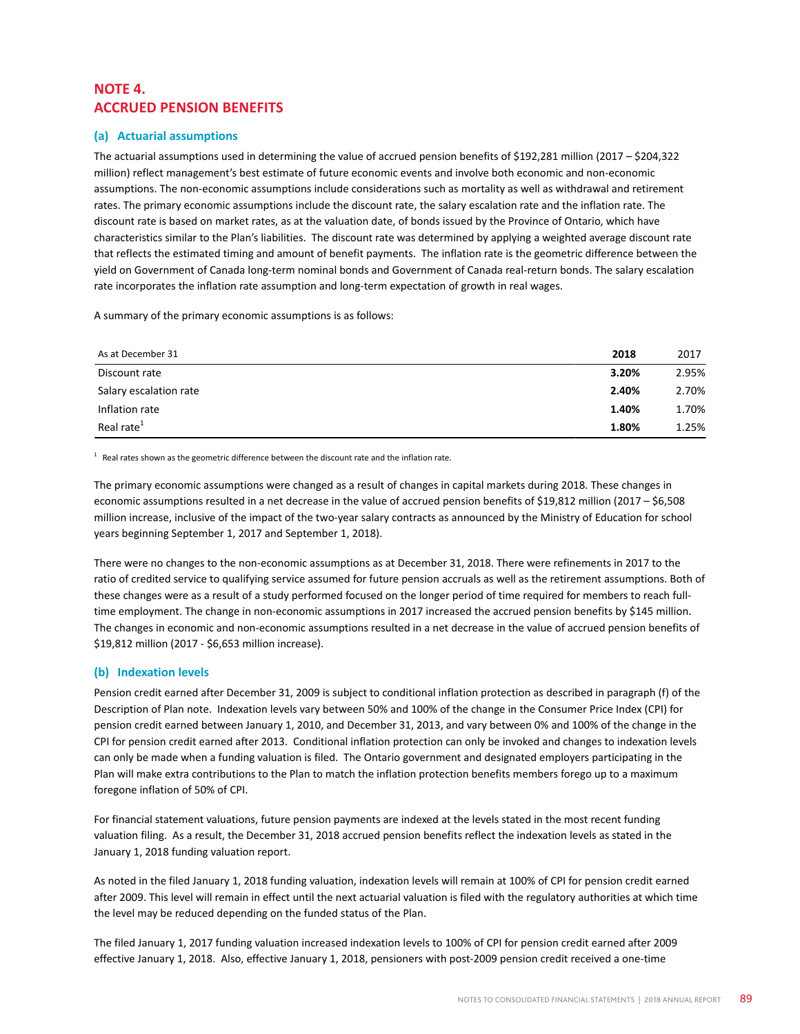# **NOTE 4. ACCRUED PENSION BENEFITS**

## **(a) Actuarial assumptions**

The actuarial assumptions used in determining the value of accrued pension benefits of \$192,281 million (2017 – \$204,322 million) reflect management's best estimate of future economic events and involve both economic and non-economic assumptions. The non-economic assumptions include considerations such as mortality as well as withdrawal and retirement rates. The primary economic assumptions include the discount rate, the salary escalation rate and the inflation rate. The discount rate is based on market rates, as at the valuation date, of bonds issued by the Province of Ontario, which have characteristics similar to the Plan's liabilities. The discount rate was determined by applying a weighted average discount rate that reflects the estimated timing and amount of benefit payments. The inflation rate is the geometric difference between the yield on Government of Canada long-term nominal bonds and Government of Canada real-return bonds. The salary escalation rate incorporates the inflation rate assumption and long-term expectation of growth in real wages.

A summary of the primary economic assumptions is as follows:

| As at December 31      | 2018  | 2017  |
|------------------------|-------|-------|
| Discount rate          | 3.20% | 2.95% |
| Salary escalation rate | 2.40% | 2.70% |
| Inflation rate         | 1.40% | 1.70% |
| Real rate <sup>1</sup> | 1.80% | 1.25% |

 $1$  Real rates shown as the geometric difference between the discount rate and the inflation rate.

The primary economic assumptions were changed as a result of changes in capital markets during 2018. These changes in economic assumptions resulted in a net decrease in the value of accrued pension benefits of \$19,812 million (2017 – \$6,508 million increase, inclusive of the impact of the two-year salary contracts as announced by the Ministry of Education for school years beginning September 1, 2017 and September 1, 2018).

There were no changes to the non-economic assumptions as at December 31, 2018. There were refinements in 2017 to the ratio of credited service to qualifying service assumed for future pension accruals as well as the retirement assumptions. Both of these changes were as a result of a study performed focused on the longer period of time required for members to reach fulltime employment. The change in non-economic assumptions in 2017 increased the accrued pension benefits by \$145 million. The changes in economic and non-economic assumptions resulted in a net decrease in the value of accrued pension benefits of \$19,812 million (2017 - \$6,653 million increase).

## **(b) Indexation levels**

Pension credit earned after December 31, 2009 is subject to conditional inflation protection as described in paragraph (f) of the Description of Plan note. Indexation levels vary between 50% and 100% of the change in the Consumer Price Index (CPI) for pension credit earned between January 1, 2010, and December 31, 2013, and vary between 0% and 100% of the change in the CPI for pension credit earned after 2013. Conditional inflation protection can only be invoked and changes to indexation levels can only be made when a funding valuation is filed. The Ontario government and designated employers participating in the Plan will make extra contributions to the Plan to match the inflation protection benefits members forego up to a maximum foregone inflation of 50% of CPI.

For financial statement valuations, future pension payments are indexed at the levels stated in the most recent funding valuation filing. As a result, the December 31, 2018 accrued pension benefits reflect the indexation levels as stated in the January 1, 2018 funding valuation report.

As noted in the filed January 1, 2018 funding valuation, indexation levels will remain at 100% of CPI for pension credit earned after 2009. This level will remain in effect until the next actuarial valuation is filed with the regulatory authorities at which time the level may be reduced depending on the funded status of the Plan.

The filed January 1, 2017 funding valuation increased indexation levels to 100% of CPI for pension credit earned after 2009 effective January 1, 2018. Also, effective January 1, 2018, pensioners with post-2009 pension credit received a one-time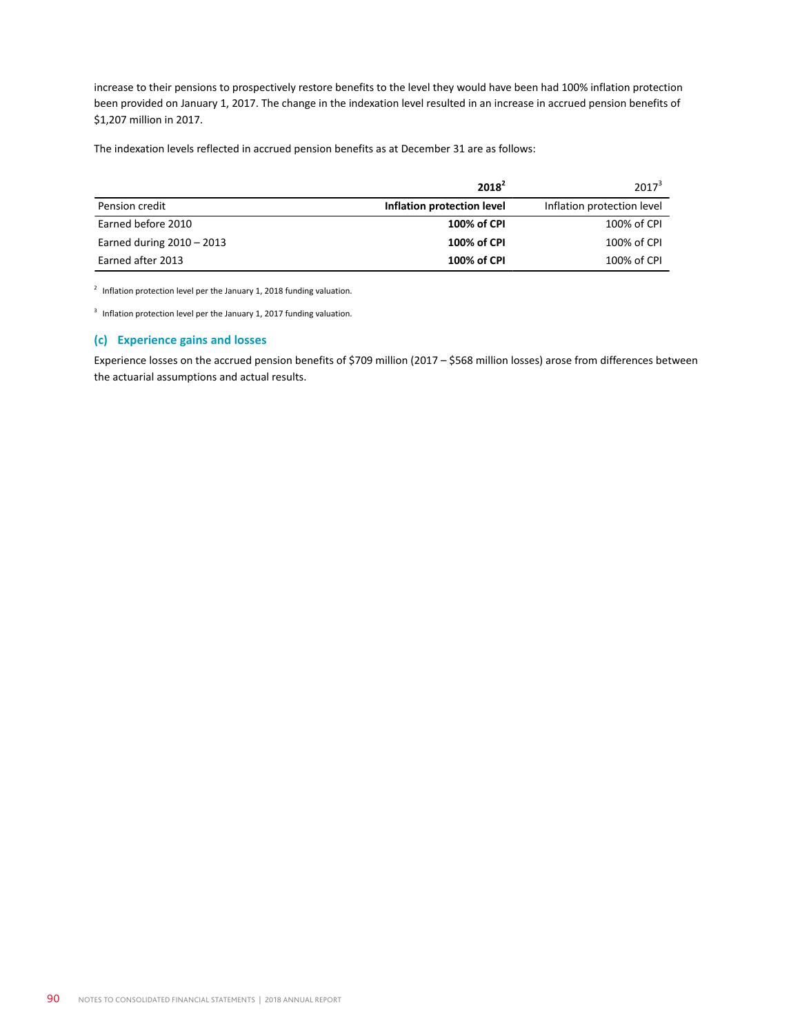increase to their pensions to prospectively restore benefits to the level they would have been had 100% inflation protection been provided on January 1, 2017. The change in the indexation level resulted in an increase in accrued pension benefits of \$1,207 million in 2017.

The indexation levels reflected in accrued pension benefits as at December 31 are as follows:

|                             | $2018^2$                   | $2017^3$                   |
|-----------------------------|----------------------------|----------------------------|
| Pension credit              | Inflation protection level | Inflation protection level |
| Earned before 2010          | 100% of CPI                | 100% of CPI                |
| Earned during $2010 - 2013$ | 100% of CPI                | 100% of CPI                |
| Earned after 2013           | 100% of CPI                | 100% of CPI                |

<sup>2</sup> Inflation protection level per the January 1, 2018 funding valuation.

 $3$  Inflation protection level per the January 1, 2017 funding valuation.

## **(c) Experience gains and losses**

Experience losses on the accrued pension benefits of \$709 million (2017 – \$568 million losses) arose from differences between the actuarial assumptions and actual results.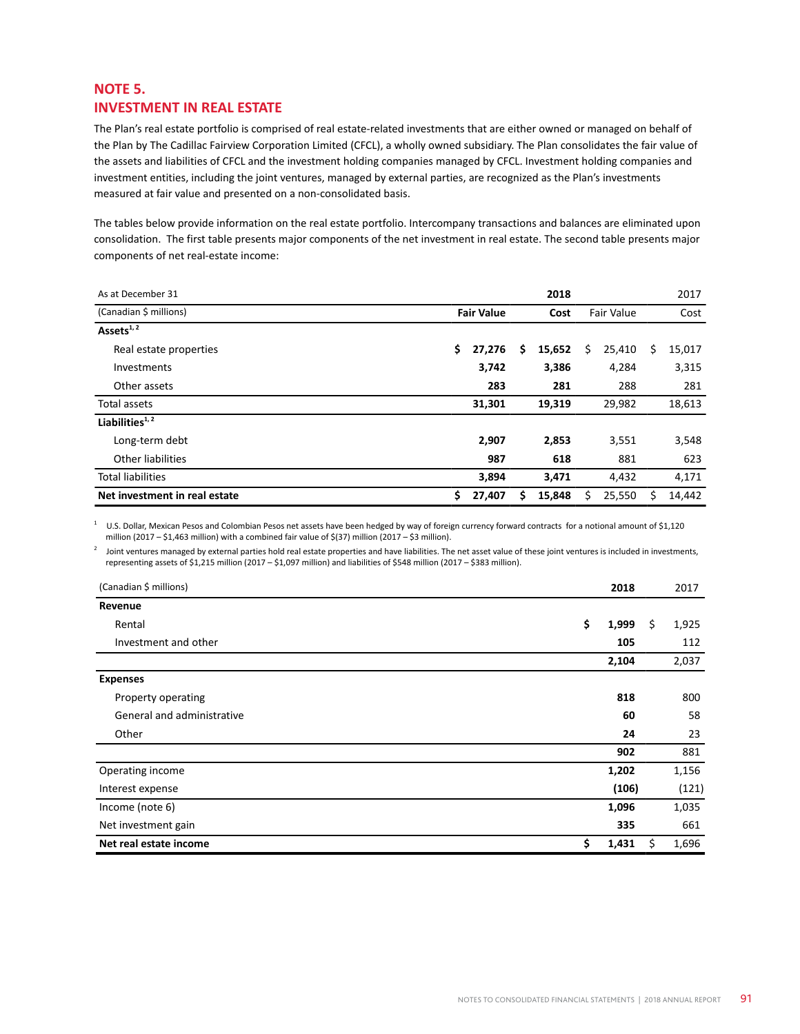# **NOTE 5. INVESTMENT IN REAL ESTATE**

The Plan's real estate portfolio is comprised of real estate-related investments that are either owned or managed on behalf of the Plan by The Cadillac Fairview Corporation Limited (CFCL), a wholly owned subsidiary. The Plan consolidates the fair value of the assets and liabilities of CFCL and the investment holding companies managed by CFCL. Investment holding companies and investment entities, including the joint ventures, managed by external parties, are recognized as the Plan's investments measured at fair value and presented on a non-consolidated basis.

The tables below provide information on the real estate portfolio. Intercompany transactions and balances are eliminated upon consolidation. The first table presents major components of the net investment in real estate. The second table presents major components of net real-estate income:

| As at December 31             | 2018                      |        |    |        |    |                   | 2017 |        |  |  |
|-------------------------------|---------------------------|--------|----|--------|----|-------------------|------|--------|--|--|
| (Canadian \$ millions)        | <b>Fair Value</b><br>Cost |        |    |        |    | <b>Fair Value</b> |      | Cost   |  |  |
| Assets <sup>1, 2</sup>        |                           |        |    |        |    |                   |      |        |  |  |
| Real estate properties        | \$                        | 27,276 | \$ | 15,652 | \$ | 25,410            | \$   | 15,017 |  |  |
| Investments                   |                           | 3,742  |    | 3,386  |    | 4,284             |      | 3,315  |  |  |
| Other assets                  |                           | 283    |    | 281    |    | 288               |      | 281    |  |  |
| Total assets                  |                           | 31,301 |    | 19,319 |    | 29,982            |      | 18,613 |  |  |
| Liabilities $1, 2$            |                           |        |    |        |    |                   |      |        |  |  |
| Long-term debt                |                           | 2,907  |    | 2,853  |    | 3,551             |      | 3,548  |  |  |
| <b>Other liabilities</b>      |                           | 987    |    | 618    |    | 881               |      | 623    |  |  |
| <b>Total liabilities</b>      |                           | 3,894  |    | 3,471  |    | 4,432             |      | 4,171  |  |  |
| Net investment in real estate | \$                        | 27,407 | s  | 15,848 | Ś  | 25,550            |      | 14,442 |  |  |

<sup>1</sup>U.S. Dollar, Mexican Pesos and Colombian Pesos net assets have been hedged by way of foreign currency forward contracts for a notional amount of \$1,120 million (2017 – \$1,463 million) with a combined fair value of \$(37) million (2017 – \$3 million).

 $2$  Joint ventures managed by external parties hold real estate properties and have liabilities. The net asset value of these joint ventures is included in investments, representing assets of \$1,215 million (2017 – \$1,097 million) and liabilities of \$548 million (2017 – \$383 million).

| (Canadian \$ millions)     | 2018        | 2017        |
|----------------------------|-------------|-------------|
| Revenue                    |             |             |
| Rental                     | \$<br>1,999 | \$<br>1,925 |
| Investment and other       | 105         | 112         |
|                            | 2,104       | 2,037       |
| <b>Expenses</b>            |             |             |
| Property operating         | 818         | 800         |
| General and administrative | 60          | 58          |
| Other                      | 24          | 23          |
|                            | 902         | 881         |
| Operating income           | 1,202       | 1,156       |
| Interest expense           | (106)       | (121)       |
| Income (note 6)            | 1,096       | 1,035       |
| Net investment gain        | 335         | 661         |
| Net real estate income     | \$<br>1,431 | \$<br>1,696 |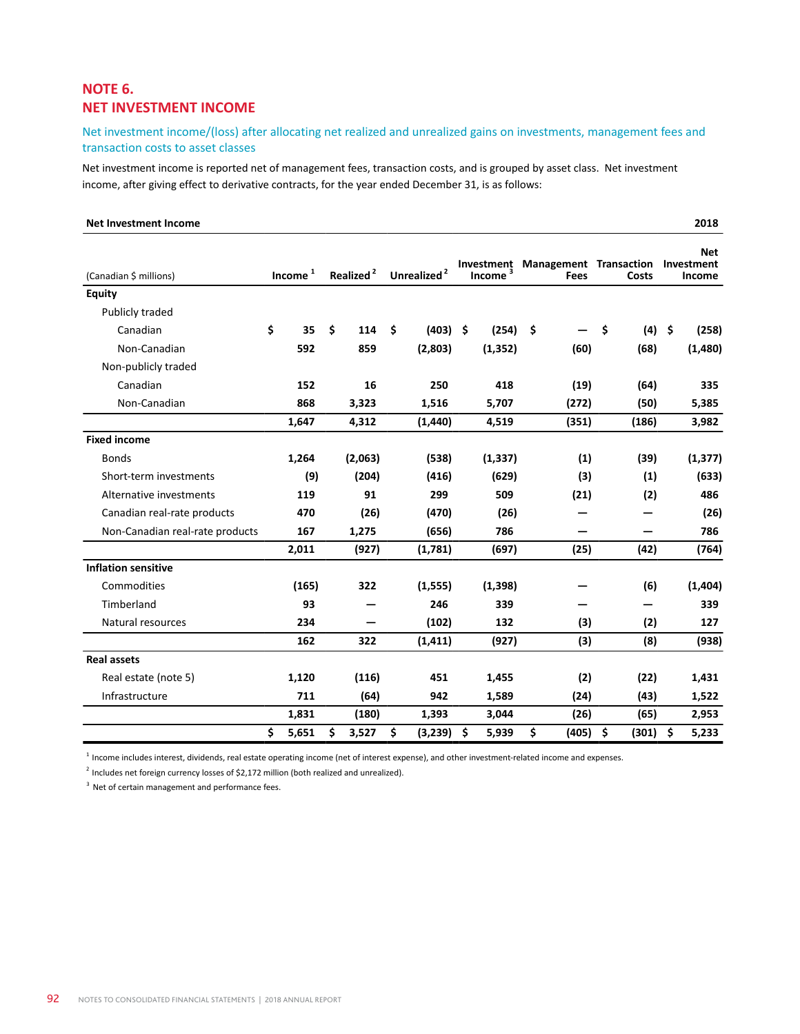# **NOTE 6. NET INVESTMENT INCOME**

Net investment income/(loss) after allocating net realized and unrealized gains on investments, management fees and transaction costs to asset classes

Net investment income is reported net of management fees, transaction costs, and is grouped by asset class. Net investment income, after giving effect to derivative contracts, for the year ended December 31, is as follows:

| <b>Net Investment Income</b>    |                     |    |                       |                         |                      |     |                                       |                | 2018                               |
|---------------------------------|---------------------|----|-----------------------|-------------------------|----------------------|-----|---------------------------------------|----------------|------------------------------------|
| (Canadian \$ millions)          | Income <sup>1</sup> |    | Realized <sup>2</sup> | Unrealized <sup>2</sup> | Investment<br>Income |     | <b>Management Transaction</b><br>Fees | Costs          | <b>Net</b><br>Investment<br>Income |
| <b>Equity</b>                   |                     |    |                       |                         |                      |     |                                       |                |                                    |
| Publicly traded                 |                     |    |                       |                         |                      |     |                                       |                |                                    |
| Canadian                        | \$<br>35            | Ś  | 114                   | \$<br>$(403)$ \$        | (254)                | \$. |                                       | \$<br>$(4)$ \$ | (258)                              |
| Non-Canadian                    | 592                 |    | 859                   | (2,803)                 | (1, 352)             |     | (60)                                  | (68)           | (1,480)                            |
| Non-publicly traded             |                     |    |                       |                         |                      |     |                                       |                |                                    |
| Canadian                        | 152                 |    | 16                    | 250                     | 418                  |     | (19)                                  | (64)           | 335                                |
| Non-Canadian                    | 868                 |    | 3,323                 | 1,516                   | 5,707                |     | (272)                                 | (50)           | 5,385                              |
|                                 | 1,647               |    | 4,312                 | (1, 440)                | 4,519                |     | (351)                                 | (186)          | 3,982                              |
| <b>Fixed income</b>             |                     |    |                       |                         |                      |     |                                       |                |                                    |
| <b>Bonds</b>                    | 1,264               |    | (2,063)               | (538)                   | (1, 337)             |     | (1)                                   | (39)           | (1, 377)                           |
| Short-term investments          | (9)                 |    | (204)                 | (416)                   | (629)                |     | (3)                                   | (1)            | (633)                              |
| Alternative investments         | 119                 |    | 91                    | 299                     | 509                  |     | (21)                                  | (2)            | 486                                |
| Canadian real-rate products     | 470                 |    | (26)                  | (470)                   | (26)                 |     |                                       |                | (26)                               |
| Non-Canadian real-rate products | 167                 |    | 1,275                 | (656)                   | 786                  |     |                                       |                | 786                                |
|                                 | 2,011               |    | (927)                 | (1,781)                 | (697)                |     | (25)                                  | (42)           | (764)                              |
| <b>Inflation sensitive</b>      |                     |    |                       |                         |                      |     |                                       |                |                                    |
| Commodities                     | (165)               |    | 322                   | (1, 555)                | (1, 398)             |     |                                       | (6)            | (1,404)                            |
| Timberland                      | 93                  |    |                       | 246                     | 339                  |     |                                       |                | 339                                |
| Natural resources               | 234                 |    |                       | (102)                   | 132                  |     | (3)                                   | (2)            | 127                                |
|                                 | 162                 |    | 322                   | (1, 411)                | (927)                |     | (3)                                   | (8)            | (938)                              |
| <b>Real assets</b>              |                     |    |                       |                         |                      |     |                                       |                |                                    |
| Real estate (note 5)            | 1,120               |    | (116)                 | 451                     | 1,455                |     | (2)                                   | (22)           | 1,431                              |
| Infrastructure                  | 711                 |    | (64)                  | 942                     | 1,589                |     | (24)                                  | (43)           | 1,522                              |
|                                 | 1,831               |    | (180)                 | 1,393                   | 3,044                |     | (26)                                  | (65)           | 2,953                              |
|                                 | \$<br>5,651         | \$ | 3,527                 | \$<br>(3, 239)          | \$<br>5,939          | \$  | (405)                                 | \$<br>(301)    | \$<br>5,233                        |

 $1$  Income includes interest, dividends, real estate operating income (net of interest expense), and other investment-related income and expenses.

 $2$  Includes net foreign currency losses of \$2,172 million (both realized and unrealized).

 $3$  Net of certain management and performance fees.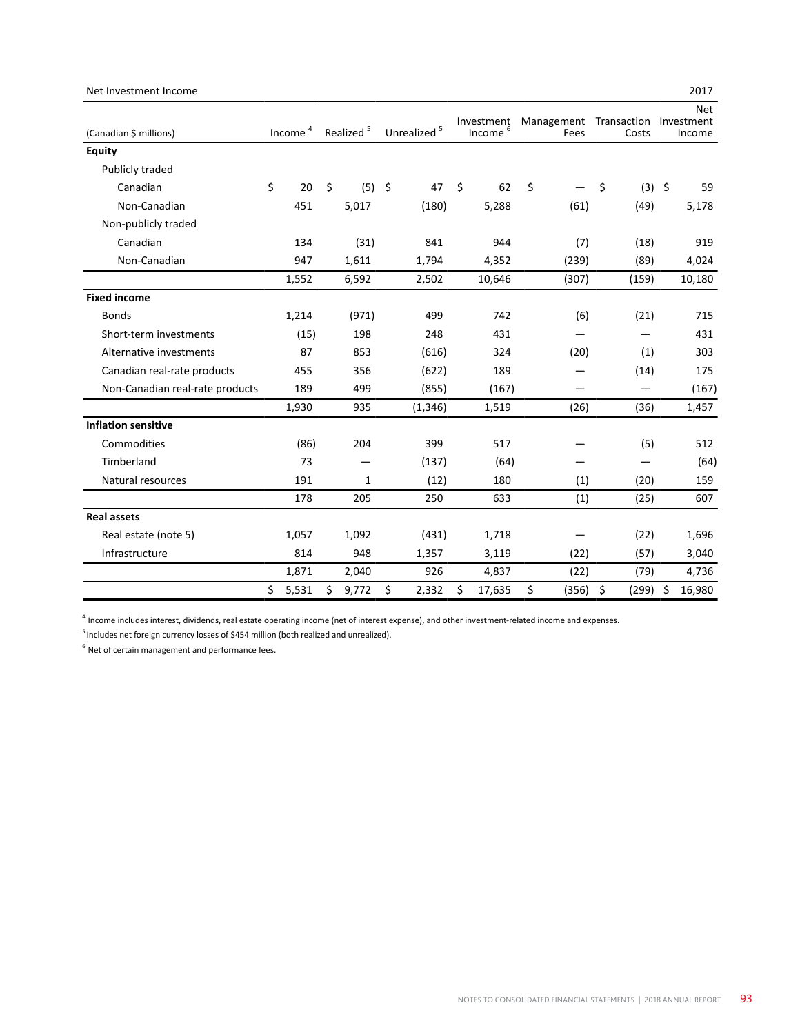| Net Investment Income           |                     |                       |                         |                                   |                                |         |          | 2017                               |
|---------------------------------|---------------------|-----------------------|-------------------------|-----------------------------------|--------------------------------|---------|----------|------------------------------------|
| (Canadian \$ millions)          | Income <sup>4</sup> | Realized <sup>5</sup> | Unrealized <sup>5</sup> | Investment<br>Income <sup>6</sup> | Management Transaction<br>Fees |         | Costs    | <b>Net</b><br>Investment<br>Income |
| <b>Equity</b>                   |                     |                       |                         |                                   |                                |         |          |                                    |
| Publicly traded                 |                     |                       |                         |                                   |                                |         |          |                                    |
| Canadian                        | \$<br>20            | \$<br>$(5)$ \$        | 47                      | \$<br>62                          | \$                             | \$      | $(3)$ \$ | 59                                 |
| Non-Canadian                    | 451                 | 5,017                 | (180)                   | 5,288                             | (61)                           |         | (49)     | 5,178                              |
| Non-publicly traded             |                     |                       |                         |                                   |                                |         |          |                                    |
| Canadian                        | 134                 | (31)                  | 841                     | 944                               | (7)                            |         | (18)     | 919                                |
| Non-Canadian                    | 947                 | 1,611                 | 1,794                   | 4,352                             | (239)                          |         | (89)     | 4,024                              |
|                                 | 1,552               | 6,592                 | 2,502                   | 10,646                            | (307)                          |         | (159)    | 10,180                             |
| <b>Fixed income</b>             |                     |                       |                         |                                   |                                |         |          |                                    |
| <b>Bonds</b>                    | 1,214               | (971)                 | 499                     | 742                               | (6)                            |         | (21)     | 715                                |
| Short-term investments          | (15)                | 198                   | 248                     | 431                               |                                |         |          | 431                                |
| Alternative investments         | 87                  | 853                   | (616)                   | 324                               | (20)                           |         | (1)      | 303                                |
| Canadian real-rate products     | 455                 | 356                   | (622)                   | 189                               |                                |         | (14)     | 175                                |
| Non-Canadian real-rate products | 189                 | 499                   | (855)                   | (167)                             |                                |         |          | (167)                              |
|                                 | 1,930               | 935                   | (1, 346)                | 1,519                             | (26)                           |         | (36)     | 1,457                              |
| <b>Inflation sensitive</b>      |                     |                       |                         |                                   |                                |         |          |                                    |
| Commodities                     | (86)                | 204                   | 399                     | 517                               |                                |         | (5)      | 512                                |
| Timberland                      | 73                  |                       | (137)                   | (64)                              |                                |         |          | (64)                               |
| Natural resources               | 191                 | 1                     | (12)                    | 180                               | (1)                            |         | (20)     | 159                                |
|                                 | 178                 | 205                   | 250                     | 633                               | (1)                            |         | (25)     | 607                                |
| <b>Real assets</b>              |                     |                       |                         |                                   |                                |         |          |                                    |
| Real estate (note 5)            | 1,057               | 1,092                 | (431)                   | 1,718                             |                                |         | (22)     | 1,696                              |
| Infrastructure                  | 814                 | 948                   | 1,357                   | 3,119                             | (22)                           |         | (57)     | 3,040                              |
|                                 | 1,871               | 2,040                 | 926                     | 4,837                             | (22)                           |         | (79)     | 4,736                              |
|                                 | \$<br>5,531         | \$<br>9,772           | \$<br>2,332             | \$<br>17,635                      | \$<br>(356)                    | $\zeta$ | (299)    | \$<br>16,980                       |

<sup>4</sup> Income includes interest, dividends, real estate operating income (net of interest expense), and other investment-related income and expenses.

 $<sup>5</sup>$  Includes net foreign currency losses of \$454 million (both realized and unrealized).</sup>

 $<sup>6</sup>$  Net of certain management and performance fees.</sup>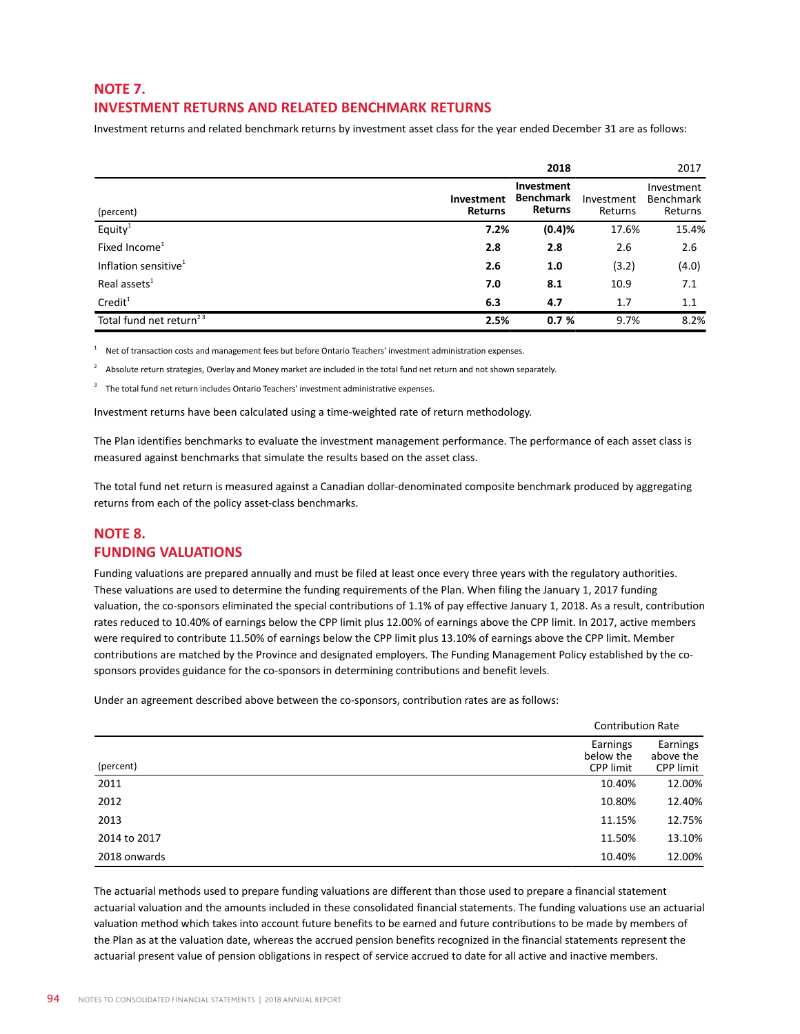# **NOTE 7. INVESTMENT RETURNS AND RELATED BENCHMARK RETURNS**

Investment returns and related benchmark returns by investment asset class for the year ended December 31 are as follows:

|                                     |                              | 2018                                             |                       | 2017                                      |
|-------------------------------------|------------------------------|--------------------------------------------------|-----------------------|-------------------------------------------|
| (percent)                           | Investment<br><b>Returns</b> | Investment<br><b>Benchmark</b><br><b>Returns</b> | Investment<br>Returns | Investment<br><b>Benchmark</b><br>Returns |
| Equity <sup>1</sup>                 | 7.2%                         | (0.4)%                                           | 17.6%                 | 15.4%                                     |
| Fixed Income <sup>1</sup>           | 2.8                          | 2.8                                              | 2.6                   | 2.6                                       |
| Inflation sensitive <sup>1</sup>    | 2.6                          | 1.0                                              | (3.2)                 | (4.0)                                     |
| Real assets $1$                     | 7.0                          | 8.1                                              | 10.9                  | 7.1                                       |
| Credit <sup>1</sup>                 | 6.3                          | 4.7                                              | 1.7                   | 1.1                                       |
| Total fund net return <sup>23</sup> | 2.5%                         | 0.7%                                             | 9.7%                  | 8.2%                                      |

 $1$  Net of transaction costs and management fees but before Ontario Teachers' investment administration expenses.

 $2$  Absolute return strategies, Overlay and Money market are included in the total fund net return and not shown separately.

<sup>3</sup> The total fund net return includes Ontario Teachers' investment administrative expenses.

Investment returns have been calculated using a time-weighted rate of return methodology.

The Plan identifies benchmarks to evaluate the investment management performance. The performance of each asset class is measured against benchmarks that simulate the results based on the asset class.

The total fund net return is measured against a Canadian dollar-denominated composite benchmark produced by aggregating returns from each of the policy asset-class benchmarks.

# **NOTE 8. FUNDING VALUATIONS**

Funding valuations are prepared annually and must be filed at least once every three years with the regulatory authorities. These valuations are used to determine the funding requirements of the Plan. When filing the January 1, 2017 funding valuation, the co-sponsors eliminated the special contributions of 1.1% of pay effective January 1, 2018. As a result, contribution rates reduced to 10.40% of earnings below the CPP limit plus 12.00% of earnings above the CPP limit. In 2017, active members were required to contribute 11.50% of earnings below the CPP limit plus 13.10% of earnings above the CPP limit. Member contributions are matched by the Province and designated employers. The Funding Management Policy established by the cosponsors provides guidance for the co-sponsors in determining contributions and benefit levels.

Under an agreement described above between the co-sponsors, contribution rates are as follows:

|              | <b>Contribution Rate</b>                  |                                           |  |
|--------------|-------------------------------------------|-------------------------------------------|--|
| (percent)    | Earnings<br>below the<br><b>CPP</b> limit | Earnings<br>above the<br><b>CPP</b> limit |  |
| 2011         | 10.40%                                    | 12.00%                                    |  |
| 2012         | 10.80%                                    | 12.40%                                    |  |
| 2013         | 11.15%                                    | 12.75%                                    |  |
| 2014 to 2017 | 11.50%                                    | 13.10%                                    |  |
| 2018 onwards | 10.40%                                    | 12.00%                                    |  |

The actuarial methods used to prepare funding valuations are different than those used to prepare a financial statement actuarial valuation and the amounts included in these consolidated financial statements. The funding valuations use an actuarial valuation method which takes into account future benefits to be earned and future contributions to be made by members of the Plan as at the valuation date, whereas the accrued pension benefits recognized in the financial statements represent the actuarial present value of pension obligations in respect of service accrued to date for all active and inactive members.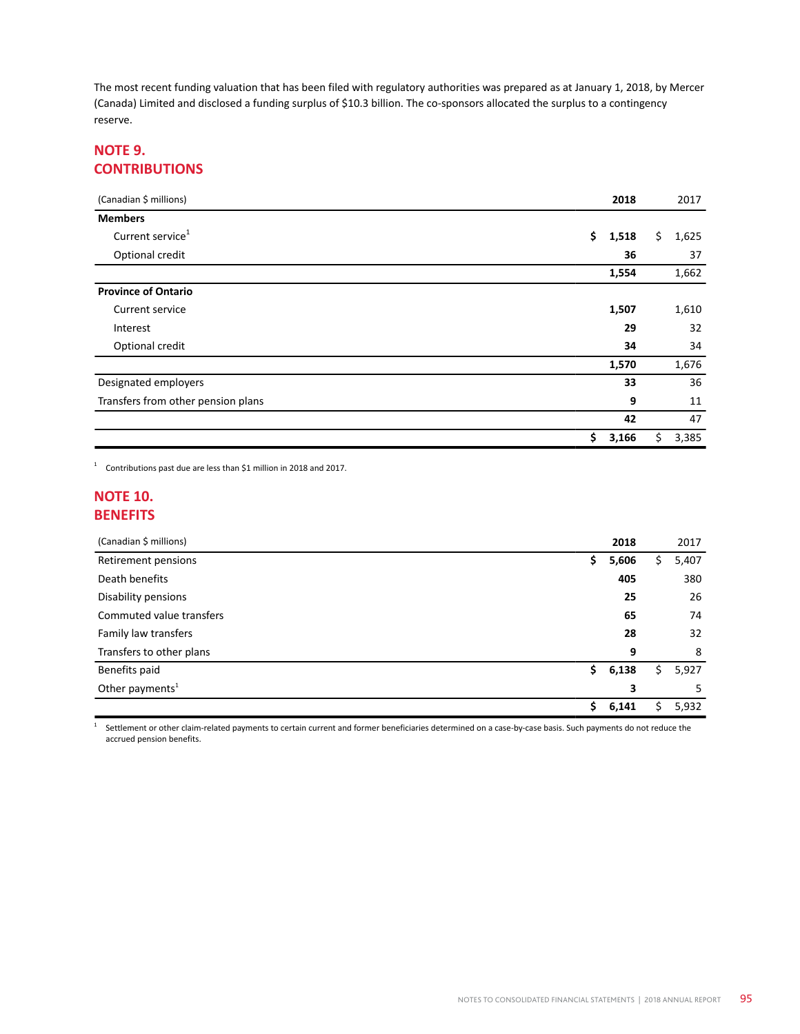The most recent funding valuation that has been filed with regulatory authorities was prepared as at January 1, 2018, by Mercer (Canada) Limited and disclosed a funding surplus of \$10.3 billion. The co-sponsors allocated the surplus to a contingency reserve.

# **NOTE 9. CONTRIBUTIONS**

| (Canadian \$ millions)             | 2018        | 2017        |
|------------------------------------|-------------|-------------|
| <b>Members</b>                     |             |             |
| Current service <sup>1</sup>       | \$<br>1,518 | \$<br>1,625 |
| Optional credit                    | 36          | 37          |
|                                    | 1,554       | 1,662       |
| <b>Province of Ontario</b>         |             |             |
| Current service                    | 1,507       | 1,610       |
| Interest                           | 29          | 32          |
| Optional credit                    | 34          | 34          |
|                                    | 1,570       | 1,676       |
| Designated employers               | 33          | 36          |
| Transfers from other pension plans | 9           | 11          |
|                                    | 42          | 47          |
|                                    | \$<br>3,166 | 3,385<br>\$ |

<sup>1</sup> Contributions past due are less than \$1 million in 2018 and 2017.

# **NOTE 10. BENEFITS**

| (Canadian \$ millions)      |    | 2018  |    | 2017  |
|-----------------------------|----|-------|----|-------|
| Retirement pensions         | \$ | 5,606 | S. | 5,407 |
| Death benefits              |    | 405   |    | 380   |
| Disability pensions         |    | 25    |    | 26    |
| Commuted value transfers    |    | 65    |    | 74    |
| Family law transfers        |    | 28    |    | 32    |
| Transfers to other plans    |    | 9     |    | 8     |
| Benefits paid               | Ś. | 6,138 | Ŝ. | 5,927 |
| Other payments <sup>1</sup> |    | 3     |    | 5     |
|                             | s  | 6,141 | S  | 5,932 |

Settlement or other claim-related payments to certain current and former beneficiaries determined on a case-by-case basis. Such payments do not reduce the accrued pension benefits.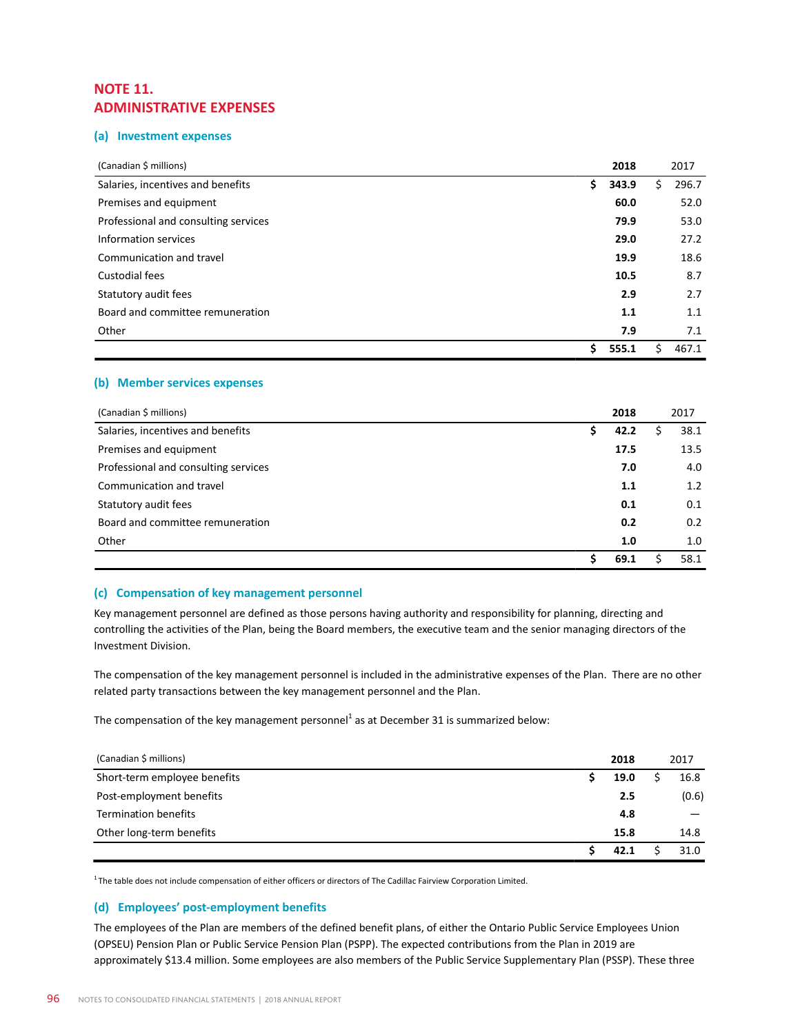# **NOTE 11. ADMINISTRATIVE EXPENSES**

#### **(a) Investment expenses**

| (Canadian \$ millions)               |    | 2018  |    | 2017  |
|--------------------------------------|----|-------|----|-------|
| Salaries, incentives and benefits    | \$ | 343.9 | S. | 296.7 |
| Premises and equipment               |    | 60.0  |    | 52.0  |
| Professional and consulting services |    | 79.9  |    | 53.0  |
| Information services                 |    | 29.0  |    | 27.2  |
| Communication and travel             |    | 19.9  |    | 18.6  |
| Custodial fees                       |    | 10.5  |    | 8.7   |
| Statutory audit fees                 |    | 2.9   |    | 2.7   |
| Board and committee remuneration     |    | 1.1   |    | 1.1   |
| Other                                |    | 7.9   |    | 7.1   |
|                                      | Ŝ. | 555.1 | S  | 467.1 |

#### **(b) Member services expenses**

| (Canadian \$ millions)               |   | 2018 | 2017 |      |
|--------------------------------------|---|------|------|------|
| Salaries, incentives and benefits    | S | 42.2 |      | 38.1 |
| Premises and equipment               |   | 17.5 |      | 13.5 |
| Professional and consulting services |   | 7.0  |      | 4.0  |
| Communication and travel             |   | 1.1  |      | 1.2  |
| Statutory audit fees                 |   | 0.1  |      | 0.1  |
| Board and committee remuneration     |   | 0.2  |      | 0.2  |
| Other                                |   | 1.0  |      | 1.0  |
|                                      |   | 69.1 |      | 58.1 |

## **(c) Compensation of key management personnel**

Key management personnel are defined as those persons having authority and responsibility for planning, directing and controlling the activities of the Plan, being the Board members, the executive team and the senior managing directors of the Investment Division.

The compensation of the key management personnel is included in the administrative expenses of the Plan. There are no other related party transactions between the key management personnel and the Plan.

The compensation of the key management personnel<sup>1</sup> as at December 31 is summarized below:

| (Canadian \$ millions)       | 2018 | 2017 |       |
|------------------------------|------|------|-------|
| Short-term employee benefits | 19.0 |      | 16.8  |
| Post-employment benefits     | 2.5  |      | (0.6) |
| Termination benefits         | 4.8  |      |       |
| Other long-term benefits     | 15.8 |      | 14.8  |
|                              | 42.1 |      | 31.0  |

 $1$ The table does not include compensation of either officers or directors of The Cadillac Fairview Corporation Limited.

## **(d) Employees' post-employment benefits**

The employees of the Plan are members of the defined benefit plans, of either the Ontario Public Service Employees Union (OPSEU) Pension Plan or Public Service Pension Plan (PSPP). The expected contributions from the Plan in 2019 are approximately \$13.4 million. Some employees are also members of the Public Service Supplementary Plan (PSSP). These three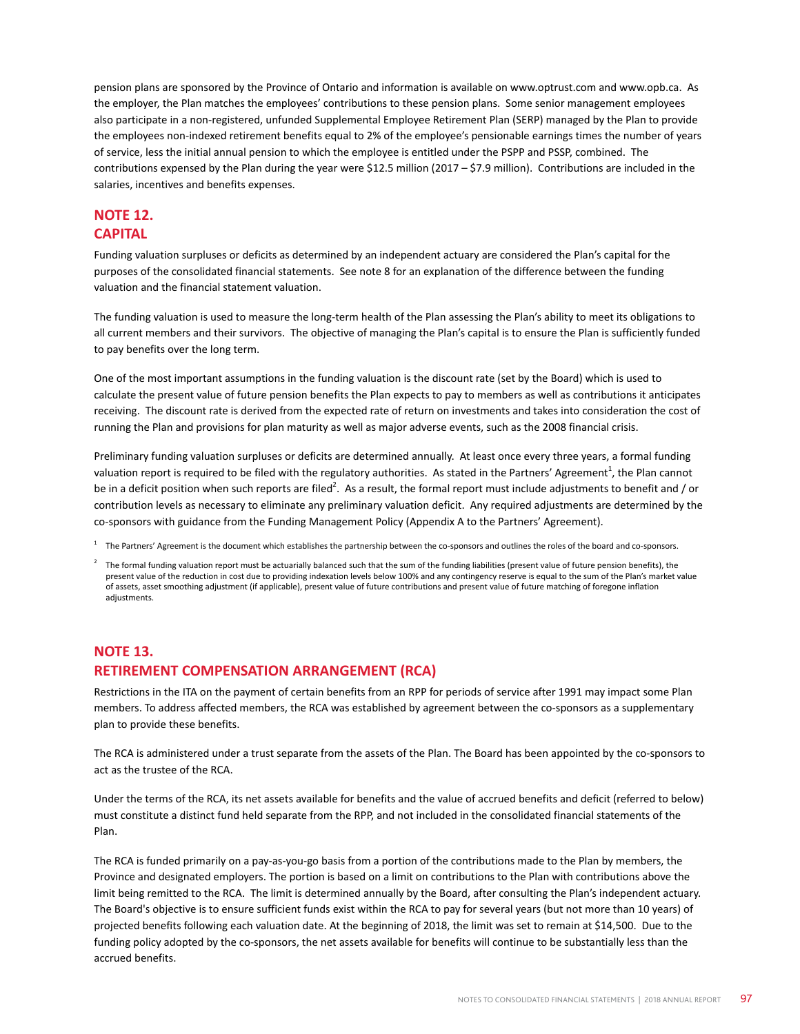pension plans are sponsored by the Province of Ontario and information is available on www.optrust.com and www.opb.ca. As the employer, the Plan matches the employees' contributions to these pension plans. Some senior management employees also participate in a non-registered, unfunded Supplemental Employee Retirement Plan (SERP) managed by the Plan to provide the employees non-indexed retirement benefits equal to 2% of the employee's pensionable earnings times the number of years of service, less the initial annual pension to which the employee is entitled under the PSPP and PSSP, combined. The contributions expensed by the Plan during the year were \$12.5 million (2017 – \$7.9 million). Contributions are included in the salaries, incentives and benefits expenses.

# **NOTE 12. CAPITAL**

Funding valuation surpluses or deficits as determined by an independent actuary are considered the Plan's capital for the purposes of the consolidated financial statements. See note 8 for an explanation of the difference between the funding valuation and the financial statement valuation.

The funding valuation is used to measure the long-term health of the Plan assessing the Plan's ability to meet its obligations to all current members and their survivors. The objective of managing the Plan's capital is to ensure the Plan is sufficiently funded to pay benefits over the long term.

One of the most important assumptions in the funding valuation is the discount rate (set by the Board) which is used to calculate the present value of future pension benefits the Plan expects to pay to members as well as contributions it anticipates receiving. The discount rate is derived from the expected rate of return on investments and takes into consideration the cost of running the Plan and provisions for plan maturity as well as major adverse events, such as the 2008 financial crisis.

Preliminary funding valuation surpluses or deficits are determined annually. At least once every three years, a formal funding valuation report is required to be filed with the regulatory authorities. As stated in the Partners' Agreement<sup>1</sup>, the Plan cannot be in a deficit position when such reports are filed<sup>2</sup>. As a result, the formal report must include adjustments to benefit and / or contribution levels as necessary to eliminate any preliminary valuation deficit. Any required adjustments are determined by the co-sponsors with guidance from the Funding Management Policy (Appendix A to the Partners' Agreement).

- $1$  The Partners' Agreement is the document which establishes the partnership between the co-sponsors and outlines the roles of the board and co-sponsors.
- $^2$  The formal funding valuation report must be actuarially balanced such that the sum of the funding liabilities (present value of future pension benefits), the present value of the reduction in cost due to providing indexation levels below 100% and any contingency reserve is equal to the sum of the Plan's market value of assets, asset smoothing adjustment (if applicable), present value of future contributions and present value of future matching of foregone inflation adjustments.

# **NOTE 13. RETIREMENT COMPENSATION ARRANGEMENT (RCA)**

Restrictions in the ITA on the payment of certain benefits from an RPP for periods of service after 1991 may impact some Plan members. To address affected members, the RCA was established by agreement between the co-sponsors as a supplementary plan to provide these benefits.

The RCA is administered under a trust separate from the assets of the Plan. The Board has been appointed by the co-sponsors to act as the trustee of the RCA.

Under the terms of the RCA, its net assets available for benefits and the value of accrued benefits and deficit (referred to below) must constitute a distinct fund held separate from the RPP, and not included in the consolidated financial statements of the Plan.

The RCA is funded primarily on a pay-as-you-go basis from a portion of the contributions made to the Plan by members, the Province and designated employers. The portion is based on a limit on contributions to the Plan with contributions above the limit being remitted to the RCA. The limit is determined annually by the Board, after consulting the Plan's independent actuary. The Board's objective is to ensure sufficient funds exist within the RCA to pay for several years (but not more than 10 years) of projected benefits following each valuation date. At the beginning of 2018, the limit was set to remain at \$14,500. Due to the funding policy adopted by the co-sponsors, the net assets available for benefits will continue to be substantially less than the accrued benefits.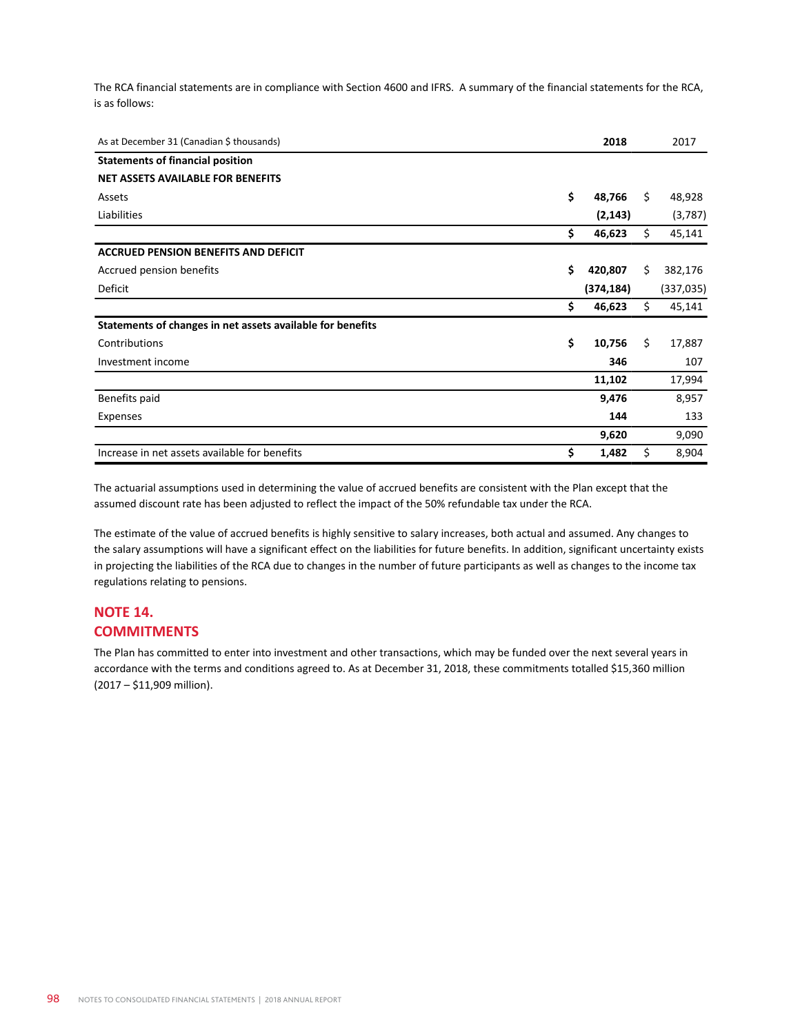The RCA financial statements are in compliance with Section 4600 and IFRS. A summary of the financial statements for the RCA, is as follows:

| As at December 31 (Canadian \$ thousands)                  | 2018          |    | 2017       |
|------------------------------------------------------------|---------------|----|------------|
| <b>Statements of financial position</b>                    |               |    |            |
| <b>NET ASSETS AVAILABLE FOR BENEFITS</b>                   |               |    |            |
| Assets                                                     | \$<br>48,766  | Ś. | 48,928     |
| Liabilities                                                | (2, 143)      |    | (3,787)    |
|                                                            | \$<br>46,623  | \$ | 45,141     |
| <b>ACCRUED PENSION BENEFITS AND DEFICIT</b>                |               |    |            |
| Accrued pension benefits                                   | \$<br>420,807 | Ś. | 382,176    |
| Deficit                                                    | (374, 184)    |    | (337, 035) |
|                                                            | \$<br>46,623  | \$ | 45,141     |
| Statements of changes in net assets available for benefits |               |    |            |
| Contributions                                              | \$<br>10,756  | Ś. | 17,887     |
| Investment income                                          | 346           |    | 107        |
|                                                            | 11,102        |    | 17,994     |
| Benefits paid                                              | 9,476         |    | 8,957      |
| Expenses                                                   | 144           |    | 133        |
|                                                            | 9,620         |    | 9,090      |
| Increase in net assets available for benefits              | \$<br>1,482   | \$ | 8,904      |

The actuarial assumptions used in determining the value of accrued benefits are consistent with the Plan except that the assumed discount rate has been adjusted to reflect the impact of the 50% refundable tax under the RCA.

The estimate of the value of accrued benefits is highly sensitive to salary increases, both actual and assumed. Any changes to the salary assumptions will have a significant effect on the liabilities for future benefits. In addition, significant uncertainty exists in projecting the liabilities of the RCA due to changes in the number of future participants as well as changes to the income tax regulations relating to pensions.

# **NOTE 14. COMMITMENTS**

The Plan has committed to enter into investment and other transactions, which may be funded over the next several years in accordance with the terms and conditions agreed to. As at December 31, 2018, these commitments totalled \$15,360 million (2017 – \$11,909 million).